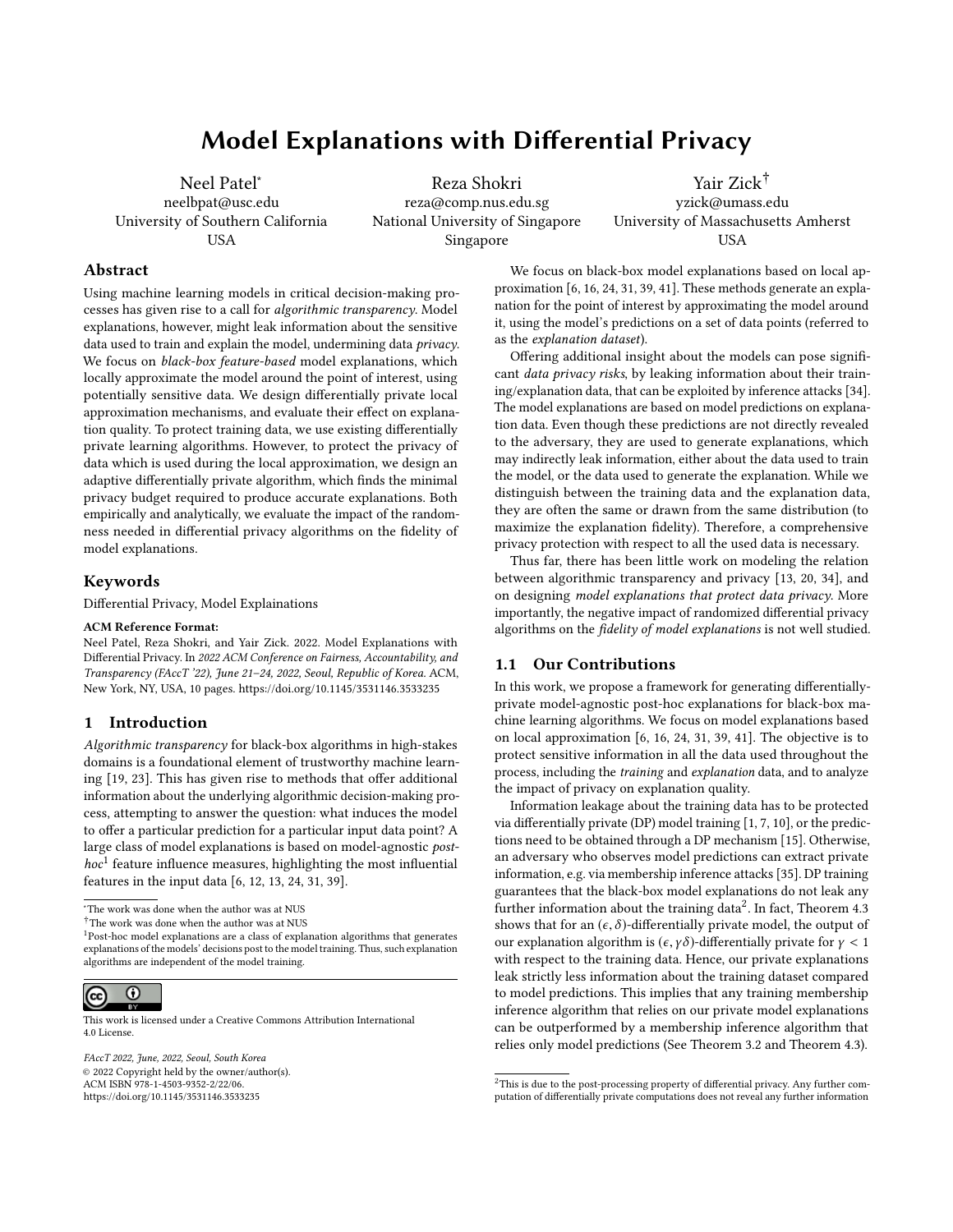# Model Explanations with Differential Privacy

Neel Patel<sup>∗</sup> neelbpat@usc.edu University of Southern California USA

Reza Shokri reza@comp.nus.edu.sg National University of Singapore Singapore

Yair Zick† yzick@umass.edu University of Massachusetts Amherst USA

## Abstract

Using machine learning models in critical decision-making processes has given rise to a call for algorithmic transparency. Model explanations, however, might leak information about the sensitive data used to train and explain the model, undermining data privacy. We focus on *black-box feature-based* model explanations, which locally approximate the model around the point of interest, using potentially sensitive data. We design differentially private local approximation mechanisms, and evaluate their effect on explanation quality. To protect training data, we use existing differentially private learning algorithms. However, to protect the privacy of data which is used during the local approximation, we design an adaptive differentially private algorithm, which finds the minimal privacy budget required to produce accurate explanations. Both empirically and analytically, we evaluate the impact of the randomness needed in differential privacy algorithms on the fidelity of model explanations.

## Keywords

Differential Privacy, Model Explainations

#### ACM Reference Format:

Neel Patel, Reza Shokri, and Yair Zick. 2022. Model Explanations with Differential Privacy. In 2022 ACM Conference on Fairness, Accountability, and Transparency (FAccT '22), June 21–24, 2022, Seoul, Republic of Korea. ACM, New York, NY, USA, [10](#page-9-0) pages.<https://doi.org/10.1145/3531146.3533235>

## 1 Introduction

Algorithmic transparency for black-box algorithms in high-stakes domains is a foundational element of trustworthy machine learning [\[19,](#page-9-1) [23\]](#page-9-2). This has given rise to methods that offer additional information about the underlying algorithmic decision-making process, attempting to answer the question: what induces the model to offer a particular prediction for a particular input data point? A large class of model explanations is based on model-agnostic post-hoc<sup>[1](#page-0-0)</sup> feature influence measures, highlighting the most influential features in the input data [\[6,](#page-9-3) [12,](#page-9-4) [13,](#page-9-5) [24,](#page-9-6) [31,](#page-9-7) [39\]](#page-9-8).

<sup>∗</sup>The work was done when the author was at NUS

<span id="page-0-0"></span><sup>&</sup>lt;sup>1</sup>Post-hoc model explanations are a class of explanation algorithms that generates explanations of the models' decisions post to the model training. Thus, such explanation algorithms are independent of the model training.



This work is licensed under a [Creative Commons Attribution International](https://creativecommons.org/licenses/by/4.0/) [4.0 License.](https://creativecommons.org/licenses/by/4.0/)

FAccT 2022, June, 2022, Seoul, South Korea © 2022 Copyright held by the owner/author(s). ACM ISBN 978-1-4503-9352-2/22/06. <https://doi.org/10.1145/3531146.3533235>

We focus on black-box model explanations based on local approximation [\[6,](#page-9-3) [16,](#page-9-9) [24,](#page-9-6) [31,](#page-9-7) [39,](#page-9-8) [41\]](#page-9-10). These methods generate an explanation for the point of interest by approximating the model around it, using the model's predictions on a set of data points (referred to as the explanation dataset).

Offering additional insight about the models can pose significant *data privacy risks*, by leaking information about their training/explanation data, that can be exploited by inference attacks [\[34\]](#page-9-11). The model explanations are based on model predictions on explanation data. Even though these predictions are not directly revealed to the adversary, they are used to generate explanations, which may indirectly leak information, either about the data used to train the model, or the data used to generate the explanation. While we distinguish between the training data and the explanation data, they are often the same or drawn from the same distribution (to maximize the explanation fidelity). Therefore, a comprehensive privacy protection with respect to all the used data is necessary.

Thus far, there has been little work on modeling the relation between algorithmic transparency and privacy [\[13,](#page-9-5) [20,](#page-9-12) [34\]](#page-9-11), and on designing model explanations that protect data privacy. More importantly, the negative impact of randomized differential privacy algorithms on the fidelity of model explanations is not well studied.

## 1.1 Our Contributions

In this work, we propose a framework for generating differentiallyprivate model-agnostic post-hoc explanations for black-box machine learning algorithms. We focus on model explanations based on local approximation [\[6,](#page-9-3) [16,](#page-9-9) [24,](#page-9-6) [31,](#page-9-7) [39,](#page-9-8) [41\]](#page-9-10). The objective is to protect sensitive information in all the data used throughout the process, including the *training* and *explanation* data, and to analyze the impact of privacy on explanation quality.

Information leakage about the training data has to be protected via differentially private (DP) model training [\[1,](#page-8-0) [7,](#page-9-13) [10\]](#page-9-14), or the predictions need to be obtained through a DP mechanism [\[15\]](#page-9-15). Otherwise, an adversary who observes model predictions can extract private information, e.g. via membership inference attacks [\[35\]](#page-9-16). DP training guarantees that the black-box model explanations do not leak any further information about the training data<sup>[2](#page-0-1)</sup>. In fact, Theorem [4.3](#page-5-0) shows that for an  $(\epsilon, \delta)$ -differentially private model, the output of our explanation algorithm is  $(\epsilon, \gamma \delta)$ -differentially private for  $\gamma < 1$ with respect to the training data. Hence, our private explanations leak strictly less information about the training dataset compared to model predictions. This implies that any training membership inference algorithm that relies on our private model explanations can be outperformed by a membership inference algorithm that relies only model predictions (See Theorem [3.2](#page-3-0) and Theorem [4.3\)](#page-5-0).

 $^\dagger$  The work was done when the author was at NUS

<span id="page-0-1"></span> $^{2}\mathrm{This}$  is due to the post-processing property of differential privacy. Any further computation of differentially private computations does not reveal any further information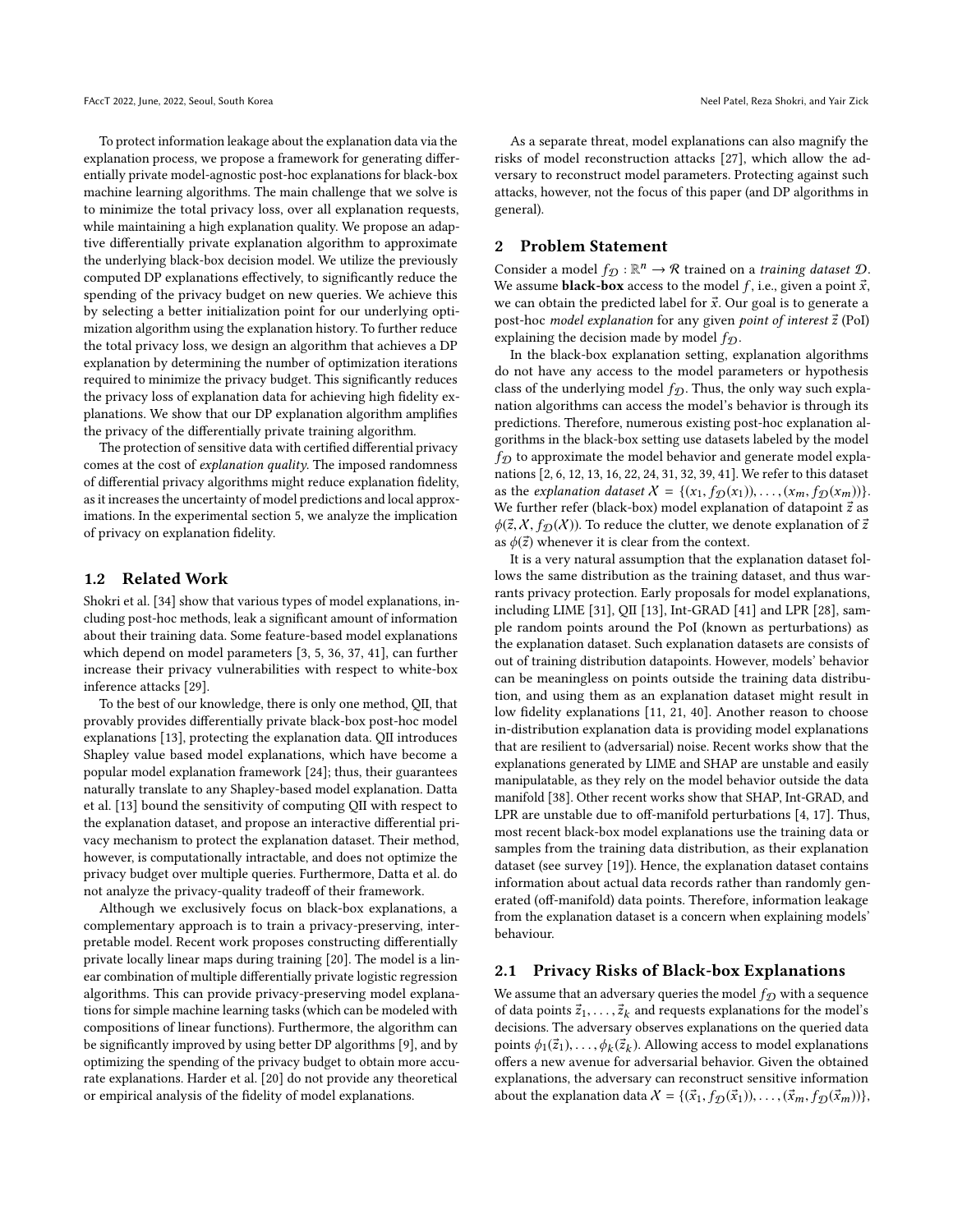To protect information leakage about the explanation data via the explanation process, we propose a framework for generating differentially private model-agnostic post-hoc explanations for black-box machine learning algorithms. The main challenge that we solve is to minimize the total privacy loss, over all explanation requests, while maintaining a high explanation quality. We propose an adaptive differentially private explanation algorithm to approximate the underlying black-box decision model. We utilize the previously computed DP explanations effectively, to significantly reduce the spending of the privacy budget on new queries. We achieve this by selecting a better initialization point for our underlying optimization algorithm using the explanation history. To further reduce the total privacy loss, we design an algorithm that achieves a DP explanation by determining the number of optimization iterations required to minimize the privacy budget. This significantly reduces the privacy loss of explanation data for achieving high fidelity explanations. We show that our DP explanation algorithm amplifies the privacy of the differentially private training algorithm.

The protection of sensitive data with certified differential privacy comes at the cost of explanation quality. The imposed randomness of differential privacy algorithms might reduce explanation fidelity, as it increases the uncertainty of model predictions and local approximations. In the experimental section [5,](#page-6-0) we analyze the implication of privacy on explanation fidelity.

## 1.2 Related Work

Shokri et al. [\[34\]](#page-9-11) show that various types of model explanations, including post-hoc methods, leak a significant amount of information about their training data. Some feature-based model explanations which depend on model parameters [\[3,](#page-8-1) [5,](#page-8-2) [36,](#page-9-17) [37,](#page-9-18) [41\]](#page-9-10), can further increase their privacy vulnerabilities with respect to white-box inference attacks [\[29\]](#page-9-19).

To the best of our knowledge, there is only one method, QII, that provably provides differentially private black-box post-hoc model explanations [\[13\]](#page-9-5), protecting the explanation data. QII introduces Shapley value based model explanations, which have become a popular model explanation framework [\[24\]](#page-9-6); thus, their guarantees naturally translate to any Shapley-based model explanation. Datta et al. [\[13\]](#page-9-5) bound the sensitivity of computing QII with respect to the explanation dataset, and propose an interactive differential privacy mechanism to protect the explanation dataset. Their method, however, is computationally intractable, and does not optimize the privacy budget over multiple queries. Furthermore, [Datta et al.](#page-9-5) do not analyze the privacy-quality tradeoff of their framework.

Although we exclusively focus on black-box explanations, a complementary approach is to train a privacy-preserving, interpretable model. Recent work proposes constructing differentially private locally linear maps during training [\[20\]](#page-9-12). The model is a linear combination of multiple differentially private logistic regression algorithms. This can provide privacy-preserving model explanations for simple machine learning tasks (which can be modeled with compositions of linear functions). Furthermore, the algorithm can be significantly improved by using better DP algorithms [\[9\]](#page-9-20), and by optimizing the spending of the privacy budget to obtain more accurate explanations. Harder et al. [\[20\]](#page-9-12) do not provide any theoretical or empirical analysis of the fidelity of model explanations.

As a separate threat, model explanations can also magnify the risks of model reconstruction attacks [\[27\]](#page-9-21), which allow the adversary to reconstruct model parameters. Protecting against such attacks, however, not the focus of this paper (and DP algorithms in general).

## 2 Problem Statement

Consider a model  $f_{\mathcal{D}} : \mathbb{R}^n \to \mathcal{R}$  trained on a *training dataset*  $\mathcal{D}$ . We assume **black-box** access to the model f, i.e., given a point  $\vec{x}$ , we can obtain the predicted label for  $\vec{x}$ . Our goal is to generate a post-hoc model explanation for any given point of interest  $\vec{z}$  (PoI) explaining the decision made by model  $f_{\mathcal{D}}$ .

In the black-box explanation setting, explanation algorithms do not have any access to the model parameters or hypothesis class of the underlying model  $f_{\mathcal{D}}$ . Thus, the only way such explanation algorithms can access the model's behavior is through its predictions. Therefore, numerous existing post-hoc explanation algorithms in the black-box setting use datasets labeled by the model  $f_{\mathcal{D}}$  to approximate the model behavior and generate model explanations [\[2,](#page-8-3) [6,](#page-9-3) [12,](#page-9-4) [13,](#page-9-5) [16,](#page-9-9) [22,](#page-9-22) [24,](#page-9-6) [31,](#page-9-7) [32,](#page-9-23) [39,](#page-9-8) [41\]](#page-9-10). We refer to this dataset as the explanation dataset  $X = \{(x_1, f_D(x_1)), \ldots, (x_m, f_D(x_m))\}.$ We further refer (black-box) model explanation of datapoint  $\vec{z}$  as  $\phi(\vec{z}, X, f_{\mathcal{D}}(X))$ . To reduce the clutter, we denote explanation of  $\vec{z}$ as  $\phi(\vec{z})$  whenever it is clear from the context.

It is a very natural assumption that the explanation dataset follows the same distribution as the training dataset, and thus warrants privacy protection. Early proposals for model explanations, including LIME [\[31\]](#page-9-7), QII [\[13\]](#page-9-5), Int-GRAD [\[41\]](#page-9-10) and LPR [\[28\]](#page-9-24), sample random points around the PoI (known as perturbations) as the explanation dataset. Such explanation datasets are consists of out of training distribution datapoints. However, models' behavior can be meaningless on points outside the training data distribution, and using them as an explanation dataset might result in low fidelity explanations [\[11,](#page-9-25) [21,](#page-9-26) [40\]](#page-9-27). Another reason to choose in-distribution explanation data is providing model explanations that are resilient to (adversarial) noise. Recent works show that the explanations generated by LIME and SHAP are unstable and easily manipulatable, as they rely on the model behavior outside the data manifold [\[38\]](#page-9-28). Other recent works show that SHAP, Int-GRAD, and LPR are unstable due to off-manifold perturbations [\[4,](#page-8-4) [17\]](#page-9-29). Thus, most recent black-box model explanations use the training data or samples from the training data distribution, as their explanation dataset (see survey [\[19\]](#page-9-1)). Hence, the explanation dataset contains information about actual data records rather than randomly generated (off-manifold) data points. Therefore, information leakage from the explanation dataset is a concern when explaining models' behaviour.

## 2.1 Privacy Risks of Black-box Explanations

We assume that an adversary queries the model  $f_{\mathcal{D}}$  with a sequence of data points  $\vec{z}_1, \ldots, \vec{z}_k$  and requests explanations for the model's decisions. The adversary observes explanations on the queried data points  $\phi_1(\vec{z}_1), \ldots, \phi_k(\vec{z}_k)$ . Allowing access to model explanations offers a new avenue for adversarial behavior. Given the obtained offers a new avenue for adversarial behavior. Given the obtained explanations, the adversary can reconstruct sensitive information about the explanation data  $X = \{(\vec{x}_1, f_D(\vec{x}_1)), \ldots,(\vec{x}_m, f_D(\vec{x}_m))\},\$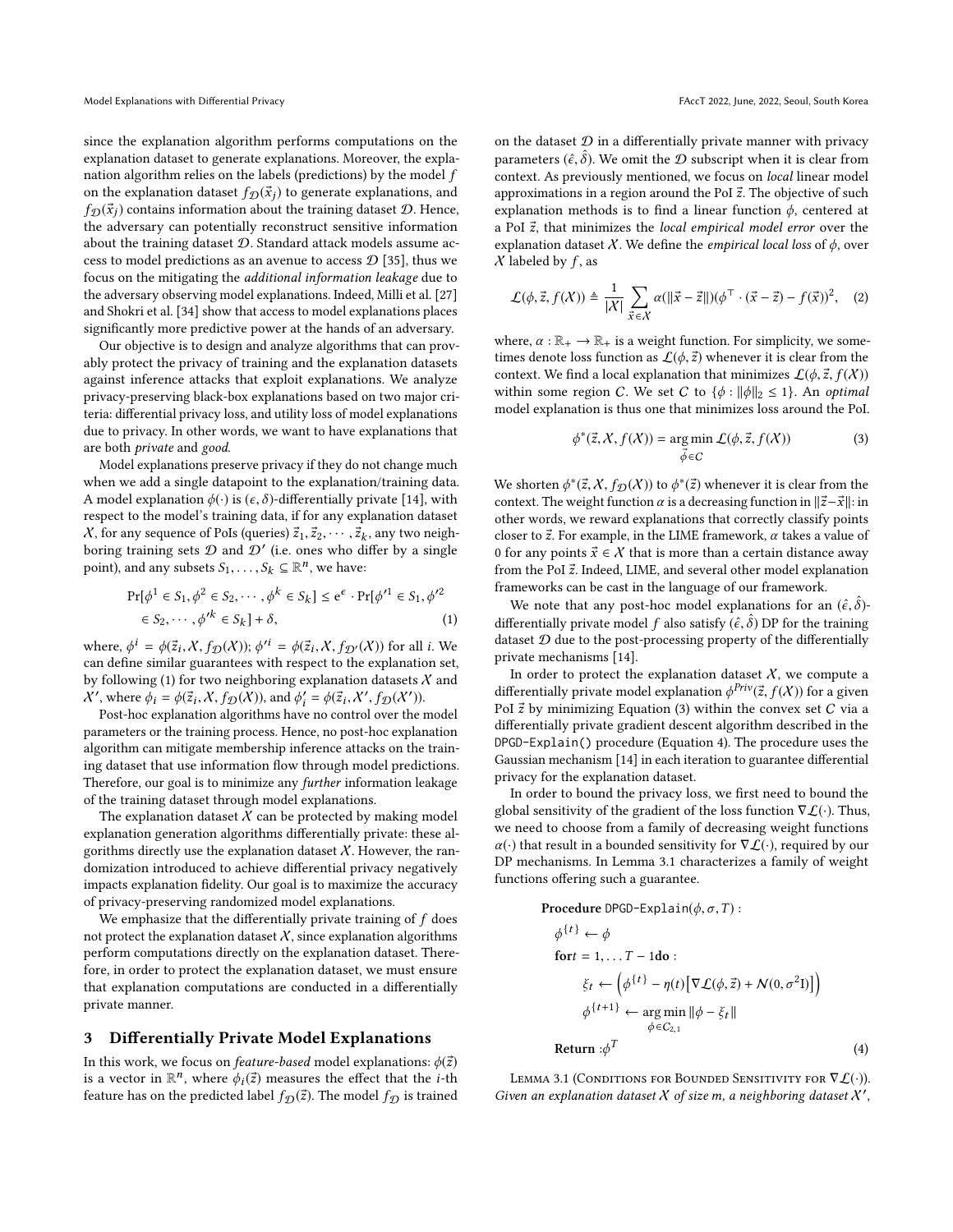since the explanation algorithm performs computations on the explanation dataset to generate explanations. Moreover, the explanation algorithm relies on the labels (predictions) by the model  $f$ on the explanation dataset  $f_{\mathcal{D}}(\vec{x}_i)$  to generate explanations, and  $f_{\mathcal{D}}(\vec{x}_i)$  contains information about the training dataset  $\mathcal{D}$ . Hence, the adversary can potentially reconstruct sensitive information about the training dataset  $D$ . Standard attack models assume access to model predictions as an avenue to access  $\mathcal{D}$  [\[35\]](#page-9-16), thus we focus on the mitigating the additional information leakage due to the adversary observing model explanations. Indeed, Milli et al. [\[27\]](#page-9-21) and Shokri et al. [\[34\]](#page-9-11) show that access to model explanations places significantly more predictive power at the hands of an adversary.

Our objective is to design and analyze algorithms that can provably protect the privacy of training and the explanation datasets against inference attacks that exploit explanations. We analyze privacy-preserving black-box explanations based on two major criteria: differential privacy loss, and utility loss of model explanations due to privacy. In other words, we want to have explanations that are both private and good.

Model explanations preserve privacy if they do not change much when we add a single datapoint to the explanation/training data. A model explanation  $\phi(\cdot)$  is  $(\epsilon, \delta)$ -differentially private [\[14\]](#page-9-30), with respect to the model's training data, if for any explanation dataset X, for any sequence of PoIs (queries)  $\vec{z}_1, \vec{z}_2, \cdots, \vec{z}_k$ , any two neigh-<br>boring training sets  $\Omega$  and  $\Omega'$  (i.e. ones who differ by a single boring training sets  $\mathcal D$  and  $\mathcal D'$  (i.e. ones who differ by a single point), and any subsets  $S_1, \ldots, S_k \subseteq \mathbb{R}^n$ , we have:

<span id="page-2-0"></span>
$$
\Pr[\phi^1 \in S_1, \phi^2 \in S_2, \cdots, \phi^k \in S_k] \le e^{\epsilon} \cdot \Pr[\phi'^1 \in S_1, \phi'^2 \in S_2, \cdots, \phi'^k \in S_k] + \delta,
$$
\n(1)

where,  $\phi^i = \phi(\vec{z}_i, X, f_{\mathcal{D}}(X));$   $\phi'^i = \phi(\vec{z}_i, X, f_{\mathcal{D}'}(X))$  for all *i*. We can define similar sucception with respect to the explanation set can define similar guarantees with respect to the explanation set, by following [\(1\)](#page-2-0) for two neighboring explanation datasets  $X$  and X', where  $\phi_i = \phi(\vec{z}_i, X, f_D(X))$ , and  $\phi'_i = \phi(\vec{z}_i, X', f_D(X'))$ .<br>Post-hoc explanation algorithms have no control over the i

Post-hoc explanation algorithms have no control over the model parameters or the training process. Hence, no post-hoc explanation algorithm can mitigate membership inference attacks on the training dataset that use information flow through model predictions. Therefore, our goal is to minimize any *further* information leakage of the training dataset through model explanations.

The explanation dataset  $X$  can be protected by making model explanation generation algorithms differentially private: these algorithms directly use the explanation dataset  $X$ . However, the randomization introduced to achieve differential privacy negatively impacts explanation fidelity. Our goal is to maximize the accuracy of privacy-preserving randomized model explanations.

We emphasize that the differentially private training of  $f$  does not protect the explanation dataset  $X$ , since explanation algorithms perform computations directly on the explanation dataset. Therefore, in order to protect the explanation dataset, we must ensure that explanation computations are conducted in a differentially private manner.

## 3 Differentially Private Model Explanations

In this work, we focus on *feature-based* model explanations:  $\phi(\vec{z})$ is a vector in  $\mathbb{R}^n$ , where  $\phi_i(\vec{z})$  measures the effect that the *i*-th feature has an the predicted label  $f_{\alpha}(\vec{z})$ . The model  $f_{\alpha}$  is trained feature has on the predicted label  $f_{\mathcal{D}}(\vec{z})$ . The model  $f_{\mathcal{D}}$  is trained on the dataset  $D$  in a differentially private manner with privacy parameters  $(\hat{\epsilon}, \hat{\delta})$ . We omit the  $\mathcal D$  subscript when it is clear from context. As previously mentioned we focus on local linear model context. As previously mentioned, we focus on local linear model approximations in a region around the PoI  $\vec{z}$ . The objective of such explanation methods is to find a linear function  $\phi$ , centered at a PoI  $\vec{z}$ , that minimizes the local empirical model error over the explanation dataset X. We define the *empirical local loss* of  $\phi$ , over  $X$  labeled by  $f$ , as

$$
\mathcal{L}(\phi, \vec{z}, f(\mathcal{X})) \triangleq \frac{1}{|\mathcal{X}|} \sum_{\vec{x} \in \mathcal{X}} \alpha(\|\vec{x} - \vec{z}\|) (\phi^{\top} \cdot (\vec{x} - \vec{z}) - f(\vec{x}))^2, \quad (2)
$$

where,  $\alpha : \mathbb{R}_+ \to \mathbb{R}_+$  is a weight function. For simplicity, we sometimes denote loss function as  $\mathcal{L}(\phi, \vec{z})$  whenever it is clear from the context. We find a local explanation that minimizes  $\mathcal{L}(\phi, \vec{z}, f(X))$ within some region C. We set C to  $\{\phi : ||\phi||_2 \leq 1\}$ . An *optimal* model explanation is thus one that minimizes loss around the PoI.

<span id="page-2-4"></span><span id="page-2-1"></span>
$$
\phi^*(\vec{z}, X, f(X)) = \underset{\vec{\phi} \in C}{\arg \min} \mathcal{L}(\phi, \vec{z}, f(X))
$$
 (3)

We shorten  $\phi^*(\vec{z}, X, f_D(X))$  to  $\phi^*(\vec{z})$  whenever it is clear from the context. The weight function  $\alpha$  is a decreasing function in  $\|\vec{z} - \vec{x}\|$ ; in context. The weight function  $\alpha$  is a decreasing function in  $\|\vec{z}-\vec{x}\|$ : in other words, we reward explanations that correctly classify points closer to  $\vec{z}$ . For example, in the LIME framework,  $\alpha$  takes a value of 0 for any points  $\vec{x} \in \mathcal{X}$  that is more than a certain distance away from the PoI  $\vec{z}$ . Indeed, LIME, and several other model explanation frameworks can be cast in the language of our framework.

We note that any post-hoc model explanations for an  $(\hat{\epsilon}, \hat{\delta})$ -<br>formatially private model f else estisty  $(\hat{\epsilon}, \hat{\delta})$ -DP for the training differentially private model f also satisfy  $(\hat{\epsilon}, \hat{\delta})$  DP for the training<br>dataset  $\Omega$  due to the post-processing property of the differentially dataset  $D$  due to the post-processing property of the differentially private mechanisms [\[14\]](#page-9-30).

In order to protect the explanation dataset  $X$ , we compute a differentially private model explanation  $\phi^{Priv}(\vec{z}, f(X))$  for a given<br>PoL<sup>7</sup> by minimizing Equation (3) within the convex set C via a PoI  $\vec{z}$  by minimizing Equation [\(3\)](#page-2-1) within the convex set  $C$  via a differentially private gradient descent algorithm described in the DPGD-Explain() procedure (Equation [4\)](#page-2-2). The procedure uses the Gaussian mechanism [\[14\]](#page-9-30) in each iteration to guarantee differential privacy for the explanation dataset.

In order to bound the privacy loss, we first need to bound the global sensitivity of the gradient of the loss function  $\nabla \mathcal{L}(\cdot)$ . Thus, we need to choose from a family of decreasing weight functions  $\alpha(\cdot)$  that result in a bounded sensitivity for  $\nabla \mathcal{L}(\cdot)$ , required by our DP mechanisms. In Lemma [3.1](#page-2-3) characterizes a family of weight functions offering such a guarantee.

<span id="page-2-2"></span>**Proceedure** DPGD-Explain(
$$
\phi, \sigma, T
$$
):  
\n
$$
\phi^{\{t\}} \leftarrow \phi
$$
\n
$$
\text{fort} = 1, \dots T - 1\text{do}:
$$
\n
$$
\xi_t \leftarrow \left(\phi^{\{t\}} - \eta(t) \left[ \nabla \mathcal{L}(\phi, \vec{z}) + \mathcal{N}(0, \sigma^2 I) \right] \right)
$$
\n
$$
\phi^{\{t+1\}} \leftarrow \underset{\phi \in C_{2,1}}{\arg \min} ||\phi - \xi_t||
$$
\n
$$
\text{Return } : \phi^T
$$
\n(4)

<span id="page-2-3"></span>LEMMA 3.1 (CONDITIONS FOR BOUNDED SENSITIVITY FOR  $\nabla \mathcal{L}(\cdot)$ ). Given an explanation dataset  $X$  of size m, a neighboring dataset  $X',$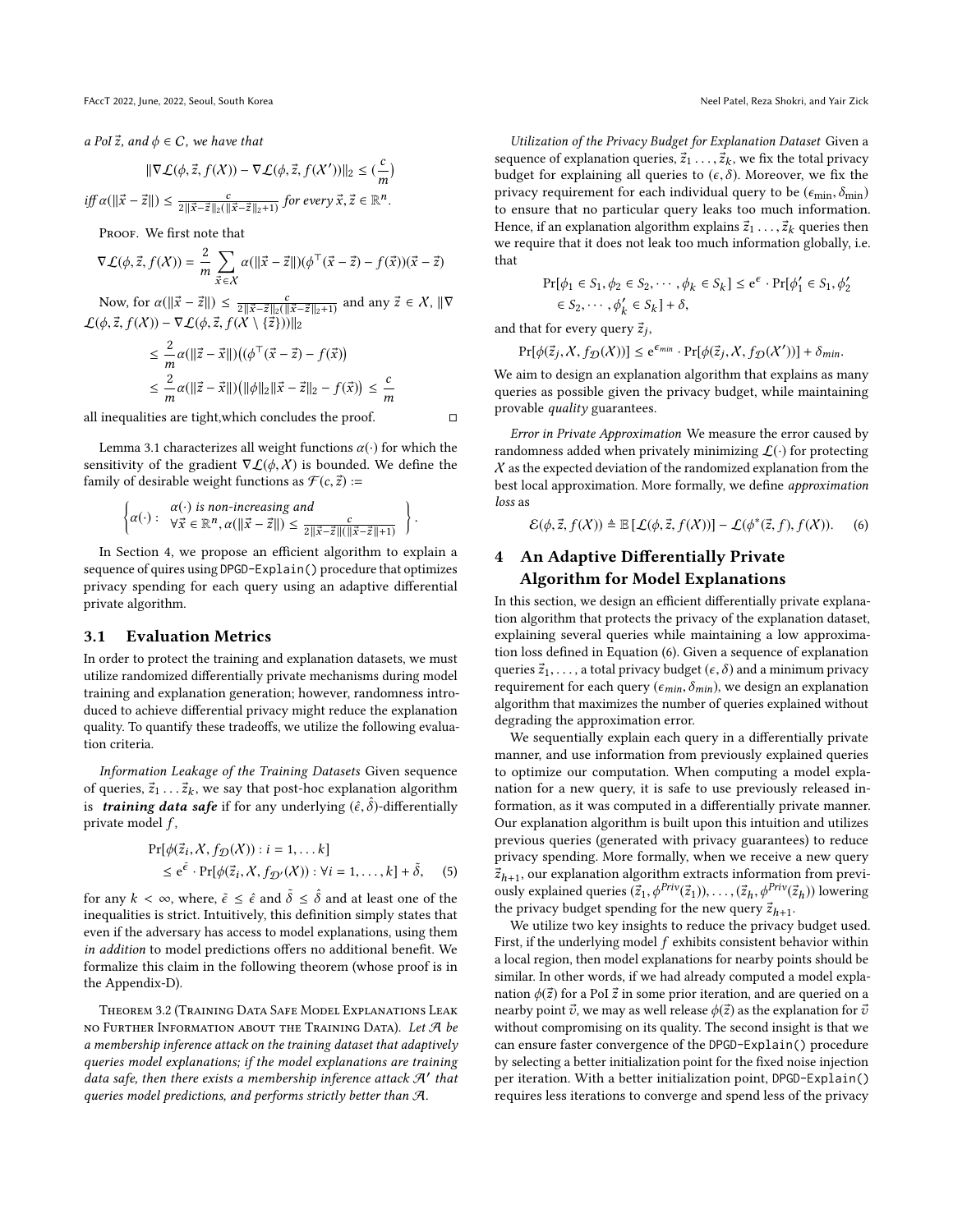a PoI  $\vec{z}$ , and  $\phi \in C$ , we have that

$$
\|\nabla \mathcal{L}(\phi,\vec{z},f(X)) - \nabla \mathcal{L}(\phi,\vec{z},f(X'))\|_2 \leq (\frac{c}{m})
$$

 $\inf_{z \in \mathcal{Z}} \alpha(\|\vec{x} - \vec{z}\|) \leq \frac{c}{2\|\vec{x} - \vec{z}\|_2(\|\vec{x} - \vec{z}\|_2 + 1)}$  for every  $\vec{x}, \vec{z} \in \mathbb{R}^n$ .

PROOF. We first note that

$$
\nabla \mathcal{L}(\phi, \vec{z}, f(\mathcal{X})) = \frac{2}{m} \sum_{\vec{x} \in \mathcal{X}} \alpha(||\vec{x} - \vec{z}||)(\phi^\top (\vec{x} - \vec{z}) - f(\vec{x}))(\vec{x} - \vec{z})
$$

Now, for  $\alpha(||\vec{x} - \vec{z}||) \le \frac{c}{2||\vec{x} - \vec{z}||_2(||\vec{x} - \vec{z}||_2 + 1)}$  and any  $\vec{z} \in X$ ,  $||\nabla \hat{\beta} \times \vec{z} + f(X) - \nabla f(\hat{\beta} \times \vec{z} + f(X) \times \vec{z})||_{\infty}$  $\mathcal{L}(\phi, \vec{z}, f(X)) - \nabla \mathcal{L}(\phi, \vec{z}, f(X \setminus {\{\vec{z}\}}))]_{2}$ 

$$
\leq \frac{2}{m}\alpha(||\vec{z} - \vec{x}||) ((\phi^{\top}(\vec{x} - \vec{z}) - f(\vec{x}))
$$
  

$$
\leq \frac{2}{m}\alpha(||\vec{z} - \vec{x}||) (||\phi||_2 ||\vec{x} - \vec{z}||_2 - f(\vec{x})) \leq \frac{c}{m}
$$

all inequalities are tight, which concludes the proof.  $□$ 

Lemma [3.1](#page-2-3) characterizes all weight functions  $\alpha(\cdot)$  for which the sensitivity of the gradient  $\nabla \mathcal{L}(\phi, \mathcal{X})$  is bounded. We define the family of desirable weight functions as  $\mathcal{F}(c, \vec{z})$  :=

$$
\left\{\alpha(\cdot): \begin{array}{l}\alpha(\cdot) \text{ is non-increasing and} \\
\forall \vec{x} \in \mathbb{R}^n, \alpha(\|\vec{x} - \vec{z}\|) \le \frac{c}{2\|\vec{x} - \vec{z}\|(\|\vec{x} - \vec{z}\| + 1)}\end{array}\right\}
$$

In Section [4,](#page-3-1) we propose an efficient algorithm to explain a sequence of quires using DPGD-Explain() procedure that optimizes privacy spending for each query using an adaptive differential private algorithm.

#### 3.1 Evaluation Metrics

In order to protect the training and explanation datasets, we must utilize randomized differentially private mechanisms during model training and explanation generation; however, randomness introduced to achieve differential privacy might reduce the explanation quality. To quantify these tradeoffs, we utilize the following evaluation criteria.

Information Leakage of the Training Datasets Given sequence of queries,  $\vec{z}_1 \dots \vec{z}_k$ , we say that post-hoc explanation algorithm<br>is **training data safe** if for any underlying  $(\hat{\epsilon}, \hat{\delta})$  differentially is **training data safe** if for any underlying  $(\hat{\epsilon}, \hat{\delta})$ -differentially private model  $f$ ,

$$
\Pr[\phi(\vec{z}_i, X, f_D(X)) : i = 1, \dots k] \le e^{\tilde{\epsilon}} \cdot \Pr[\phi(\vec{z}_i, X, f_{D'}(X)) : \forall i = 1, \dots, k] + \tilde{\delta}, \quad (5)
$$

for any  $k < \infty$ , where,  $\tilde{\epsilon} \leq \hat{\epsilon}$  and  $\tilde{\delta} \leq \hat{\delta}$  and at least one of the inequalities is strict. Intuitively, this definition simply states that even if the adversary has access to model explanations, using them in addition to model predictions offers no additional benefit. We formalize this claim in the following theorem (whose proof is in the Appendix-D).

<span id="page-3-0"></span>Theorem 3.2 (Training Data Safe Model Explanations Leak no Further Information about the Training Data). Let  $\mathcal A$  be a membership inference attack on the training dataset that adaptively queries model explanations; if the model explanations are training data safe, then there exists a membership inference attack  $\mathcal{A}'$  that queries model predictions, and performs strictly better than A.

Utilization of the Privacy Budget for Explanation Dataset Given a sequence of explanation queries,  $\vec{z}_1 \dots, \vec{z}_k$ , we fix the total privacy<br>budget for explaining all queries to  $(\varepsilon, \delta)$ . Moreover, we fix the budget for explaining all queries to  $(\epsilon, \delta)$ . Moreover, we fix the privacy requirement for each individual query to be ( $\epsilon_{\min}, \delta_{\min}$ ) to ensure that no particular query leaks too much information. Hence, if an explanation algorithm explains  $\vec{z}_1 \ldots, \vec{z}_k$  queries then we require that it does not leak too much information globally, i.e. that

$$
\Pr[\phi_1 \in S_1, \phi_2 \in S_2, \cdots, \phi_k \in S_k] \le e^{\epsilon} \cdot \Pr[\phi'_1 \in S_1, \phi'_2
$$
  

$$
\in S_2, \cdots, \phi'_k \in S_k] + \delta,
$$
  
and that for every query  $\vec{z}_j$ ,

$$
\Pr[\phi(\vec{z}_j, X, f_{\mathcal{D}}(X))] \le e^{\epsilon_{min}} \cdot \Pr[\phi(\vec{z}_j, X, f_{\mathcal{D}}(X'))] + \delta_{min}.
$$
  
We aim to design an explanation algorithm that explains as many

queries as possible given the privacy budget, while maintaining provable quality guarantees.

Error in Private Approximation We measure the error caused by randomness added when privately minimizing  $\mathcal{L}(\cdot)$  for protecting  $X$  as the expected deviation of the randomized explanation from the best local approximation. More formally, we define approximation loss as

<span id="page-3-2"></span>
$$
\mathcal{E}(\phi, \vec{z}, f(X)) \triangleq \mathbb{E}\left[\mathcal{L}(\phi, \vec{z}, f(X))\right] - \mathcal{L}(\phi^*(\vec{z}, f), f(X)).\tag{6}
$$

## <span id="page-3-1"></span>4 An Adaptive Differentially Private Algorithm for Model Explanations

In this section, we design an efficient differentially private explanation algorithm that protects the privacy of the explanation dataset, explaining several queries while maintaining a low approximation loss defined in Equation [\(6\)](#page-3-2). Given a sequence of explanation queries  $\vec{z}_1, \ldots$ , a total privacy budget ( $\epsilon, \delta$ ) and a minimum privacy requirement for each query ( $\epsilon_{min}$ ,  $\delta_{min}$ ), we design an explanation algorithm that maximizes the number of queries explained without degrading the approximation error.

We sequentially explain each query in a differentially private manner, and use information from previously explained queries to optimize our computation. When computing a model explanation for a new query, it is safe to use previously released information, as it was computed in a differentially private manner. Our explanation algorithm is built upon this intuition and utilizes previous queries (generated with privacy guarantees) to reduce privacy spending. More formally, when we receive a new query  $\vec{z}_{h+1}$ , our explanation algorithm extracts information from previ-<br>ously explained queries  $(\vec{z}_t, \phi^{Priv}(\vec{z}, t))$  =  $(\vec{z}, \phi^{Priv}(\vec{z}, t))$  lowering ously explained queries  $(\vec{z}_1, \phi^{Priv}(\vec{z}_1)), \dots, (\vec{z}_h, \phi^{Priv}(\vec{z}_h))$  lowering<br>the privacy budget spending for the new query  $\vec{z}$ , the privacy budget spending for the new query  $\vec{z}_{h+1}$ .<br>We utilize two key insights to reduce the privacy

We utilize two key insights to reduce the privacy budget used. First, if the underlying model  $f$  exhibits consistent behavior within a local region, then model explanations for nearby points should be similar. In other words, if we had already computed a model explanation  $\phi(\vec{z})$  for a PoI  $\vec{z}$  in some prior iteration, and are queried on a nearby point  $\vec{v}$ , we may as well release  $\phi(\vec{z})$  as the explanation for  $\vec{v}$ without compromising on its quality. The second insight is that we can ensure faster convergence of the DPGD-Explain() procedure by selecting a better initialization point for the fixed noise injection per iteration. With a better initialization point, DPGD-Explain() requires less iterations to converge and spend less of the privacy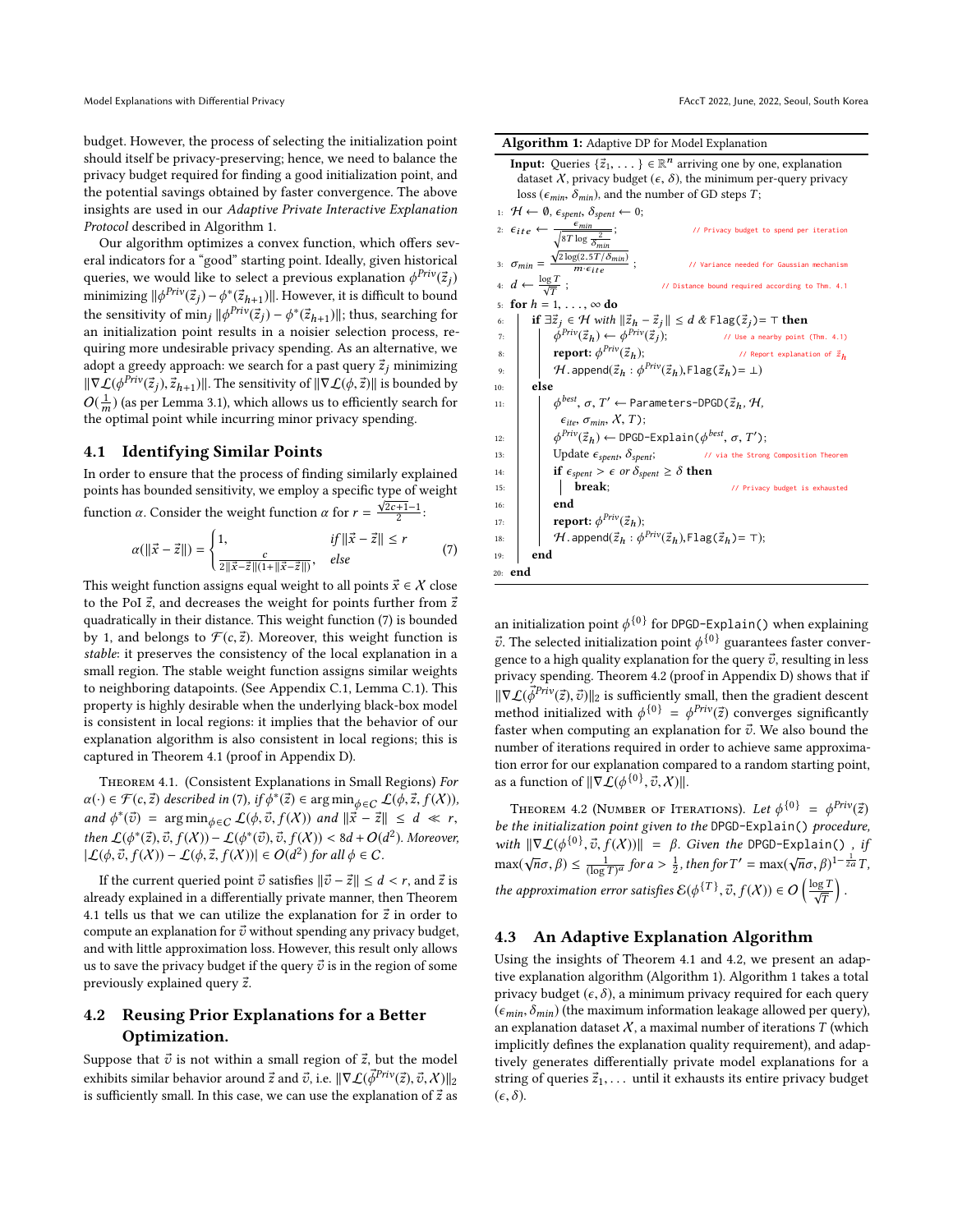budget. However, the process of selecting the initialization point should itself be privacy-preserving; hence, we need to balance the privacy budget required for finding a good initialization point, and the potential savings obtained by faster convergence. The above insights are used in our Adaptive Private Interactive Explanation Protocol described in Algorithm [1.](#page-4-0)

Our algorithm optimizes a convex function, which offers several indicators for a "good" starting point. Ideally, given historical queries, we would like to select a previous explanation  $\phi^{Priv}(\vec{z}_j)$ minimizing  $\|\phi^{Priv}(\vec{z}_j) - \phi^*(\vec{z}_{h+1})\|$ . However, it is difficult to bound<br>the consitivity of min.  $\|\phi^{Priv}(\vec{z}_i) - \phi^*(\vec{z}_{h+1})\|$ , thus seembing for the sensitivity of min<sub>j</sub>  $\|\phi^{Priv}(\vec{z}_j) - \phi^*(\vec{z}_{h+1})\|$ ; thus, searching for an initialization point results in a noisier selection process rean initialization point results in a noisier selection process, requiring more undesirable privacy spending. As an alternative, we adopt a greedy approach: we search for a past query  $\vec{z}_j$  minimizing  $\|\nabla \mathcal{L}(\phi^{Priv}(\vec{z}_j), \vec{z}_{h+1})\|$ . The sensitivity of  $\|\nabla \mathcal{L}(\phi, \vec{z})\|$  is bounded by  $O(\frac{1}{\epsilon})$  (or nor Lamma 3.1), which allows us to officiently search for  $O(\frac{1}{m})$  (as per Lemma [3.1\)](#page-2-3), which allows us to efficiently search for the optimal point while incurring minor privacy spending the optimal point while incurring minor privacy spending.

## 4.1 Identifying Similar Points

In order to ensure that the process of finding similarly explained points has bounded sensitivity, we employ a specific type of weight function  $\alpha$ . Consider the weight function  $\alpha$  for  $r = \frac{\sqrt{2c+1}-1}{2}$ :

$$
\alpha(||\vec{x} - \vec{z}||) = \begin{cases} 1, & if ||\vec{x} - \vec{z}|| \le r \\ \frac{c}{2||\vec{x} - \vec{z}||(1 + ||\vec{x} - \vec{z}||)}, & else \end{cases}
$$
(7)

This weight function assigns equal weight to all points  $\vec{x} \in \mathcal{X}$  close to the PoI  $\vec{z}$ , and decreases the weight for points further from  $\vec{z}$ quadratically in their distance. This weight function [\(7\)](#page-4-1) is bounded by 1, and belongs to  $\mathcal{F}(c, \vec{z})$ . Moreover, this weight function is stable: it preserves the consistency of the local explanation in a small region. The stable weight function assigns similar weights to neighboring datapoints. (See Appendix C.1, Lemma C.1). This property is highly desirable when the underlying black-box model is consistent in local regions: it implies that the behavior of our explanation algorithm is also consistent in local regions; this is captured in Theorem [4.1](#page-4-2) (proof in Appendix D).

<span id="page-4-2"></span>Theorem 4.1. (Consistent Explanations in Small Regions) For  $\alpha(\cdot) \in \mathcal{F}(c, \vec{z})$  described in [\(7\)](#page-4-1), if  $\phi^*(\vec{z}) \in \arg \min_{\phi \in C} \mathcal{L}(\phi, \vec{z}, f(X))$ ,<br>and  $\phi^*(\vec{z}) = \arg \min_{\phi \in C} \mathcal{L}(\phi, \vec{z}, f(X))$ , and  $\|\vec{z} - \vec{z}\| \leq d \leq r$ and  $\phi^*(\vec{v}) = \arg \min_{\phi \in C} \mathcal{L}(\phi, \vec{v}, f(X))$  and  $\|\vec{x} - \vec{z}\| \leq d \ll r$ ,<br>then  $C(\vec{x}, \vec{v}, \vec{v}, f(Y)) = C(\vec{x}, \vec{v}, f(Y)) \leq \theta d + O(d^2)$ . Moreover then  $\mathcal{L}(\phi^*(\vec{z}), \vec{v}, f(X)) - \mathcal{L}(\phi^*(\vec{v}), \vec{v}, f(X)) < 8d + O(d^2)$ . Moreover,<br>  $\mathcal{L}(\phi, \vec{v}, f(X)) = \mathcal{L}(\phi, \vec{v}, f(X)) \in O(d^2)$  for all  $\phi \in C$  $|\mathcal{L}(\phi, \vec{v}, f(X)) - \mathcal{L}(\phi, \vec{z}, f(X))| \in O(d^2)$  for all  $\phi \in C$ .

If the current queried point  $\vec{v}$  satisfies  $\|\vec{v} - \vec{z}\| \le d < r$ , and  $\vec{z}$  is already explained in a differentially private manner, then Theorem [4.1](#page-4-2) tells us that we can utilize the explanation for  $\vec{z}$  in order to compute an explanation for  $\vec{v}$  without spending any privacy budget, and with little approximation loss. However, this result only allows us to save the privacy budget if the query  $\vec{v}$  is in the region of some previously explained query  $\vec{z}$ .

## 4.2 Reusing Prior Explanations for a Better Optimization.

Suppose that  $\vec{v}$  is not within a small region of  $\vec{z}$ , but the model exhibits similar behavior around  $\vec{z}$  and  $\vec{v}$ , i.e.  $\|\nabla \mathcal{L}(\vec{\phi}^{Priv}(\vec{z}), \vec{v}, \mathcal{X})\|_2$ is sufficiently small. In this case, we can use the explanation of  $\vec{z}$  as

|  | Algorithm 1: Adaptive DP for Model Explanation |
|--|------------------------------------------------|
|  |                                                |

| <b>Input:</b> Queries $\{\vec{z}_1, \dots\} \in \mathbb{R}^n$ arriving one by one, explanation                                           |  |  |  |  |  |
|------------------------------------------------------------------------------------------------------------------------------------------|--|--|--|--|--|
| dataset $X$ , privacy budget ( $\epsilon$ , $\delta$ ), the minimum per-query privacy                                                    |  |  |  |  |  |
| loss ( $\epsilon_{min}$ , $\delta_{min}$ ), and the number of GD steps T;                                                                |  |  |  |  |  |
| 1: $H \leftarrow \emptyset$ , $\epsilon_{spent}$ , $\delta_{spent} \leftarrow 0$ ;                                                       |  |  |  |  |  |
| 2: $\epsilon_{ite} \leftarrow \frac{\epsilon_{min}}{\sqrt{8T \log \frac{2}{\delta_{min}}}};$<br>// Privacy budget to spend per iteration |  |  |  |  |  |
| 3: $\sigma_{min} = \frac{\sqrt{2 \log(2.5T/\delta_{min})}}{m \cdot \epsilon_{ite}}$ ;<br>// Variance needed for Gaussian mechanism       |  |  |  |  |  |
| 4: $d \leftarrow \frac{\log T}{\sqrt{T}}$ ;<br>// Distance bound required according to Thm. 4.1                                          |  |  |  |  |  |
| for $h = 1, \ldots, \infty$ do<br>5:                                                                                                     |  |  |  |  |  |
| if $\exists \vec{z}_i \in \mathcal{H}$ with $\ \vec{z}_h - \vec{z}_i\  \leq d \& \text{Flag}(\vec{z}_i) = \top$ then<br>6:               |  |  |  |  |  |
| $\phi^{Priv}(\vec{z}_h) \leftarrow \phi^{Priv}(\vec{z}_i);$<br>// Use a nearby point (Thm. 4.1)<br>7:                                    |  |  |  |  |  |
| report: $\phi^{Priv}(\vec{z}_h)$ ;<br>// Report explanation of $\vec{z}_h$<br>8:                                                         |  |  |  |  |  |
| $H$ . append $(\vec{z}_h : \phi^{Priv}(\vec{z}_h),$ Flag $(\vec{z}_h)$ = $\perp$ )<br>9:                                                 |  |  |  |  |  |
| else<br>10:                                                                                                                              |  |  |  |  |  |
| $\phi^{best}$ , $\sigma$ , $T' \leftarrow$ Parameters-DPGD( $\vec{z}_h$ , $\mathcal{H}$ ,<br>11:                                         |  |  |  |  |  |
| $\epsilon_{ite}, \sigma_{min}, \chi, T$ ;                                                                                                |  |  |  |  |  |
| $\phi^{Priv}(\vec{z}_h) \leftarrow$ DPGD-Explain( $\phi^{best}, \sigma, T'$ );<br>12:                                                    |  |  |  |  |  |
| Update $\epsilon_{spent}$ , $\delta_{spent}$ ;<br>// via the Strong Composition Theorem<br>13:                                           |  |  |  |  |  |
| if $\epsilon_{\text{spent}} > \epsilon$ or $\delta_{\text{spent}} \geq \delta$ then<br>14:                                               |  |  |  |  |  |
| break;<br>// Privacy budget is exhausted<br>15:                                                                                          |  |  |  |  |  |
| end<br>16:                                                                                                                               |  |  |  |  |  |
| <b>report:</b> $\phi^{Priv}(\vec{z}_h)$ ;<br>17:                                                                                         |  |  |  |  |  |
| $H.\text{append}(\vec{z}_h : \phi^{Priv}(\vec{z}_h), \text{Flag}(\vec{z}_h) = \top);$<br>18:                                             |  |  |  |  |  |
| end<br>19:                                                                                                                               |  |  |  |  |  |
| 20: <b>end</b>                                                                                                                           |  |  |  |  |  |

<span id="page-4-1"></span><span id="page-4-0"></span>an initialization point  $\phi^{\{0\}}$  for DPGD-Explain( ) when explaining  $\vec{v}$ . The selected initialization point  $\phi^{\{0\}}$  guarantees faster convergence to a high quality explanation for the query  $\vec{v}$ , resulting in less privacy spending. Theorem [4.2](#page-4-3) (proof in Appendix D) shows that if  $\|\nabla \mathcal{L}(\vec{\phi}^{Priv}(\vec{z}),\vec{v})\|_2$  is sufficiently small, then the gradient descent method initialized with  $\phi^{\{0\}} = \phi^{Priv}(\vec{z})$  converges significantly faster when computing an explanation for  $\vec{v}$ . We also bound the number of iterations required in order to achieve same approximation error for our explanation compared to a random starting point, as a function of  $\|\nabla \mathcal{L}(\phi^{\{0\}}, \vec{v}, \chi)\|.$ 

<span id="page-4-3"></span>Theorem 4.2 (Number of Iterations). Let  $\phi^{\{0\}} = \phi^{Priv}(\vec{z})$ be the initialization point given to the DPGD-Explain() procedure, with  $\|\nabla \mathcal{L}(\phi^{\{0\}}, \vec{v}, f(X))\| = \beta$ . Given the DPGD-Explain(), if  $\max(\sqrt{n}\sigma, \beta) \le \frac{1}{(\log T)^a}$  for  $a > \frac{1}{2}$ , then for  $T' = \max(\sqrt{n}\sigma, \beta)^{1-\frac{1}{2a}}T$ , the approximation error satisfies  $\mathcal{E}(\phi^{\{T\}}, \vec{v}, f(X)) \in O\left(\frac{\log T}{\sqrt{T}}\right)$ 

## 4.3 An Adaptive Explanation Algorithm

Using the insights of Theorem [4.1](#page-4-2) and [4.2,](#page-4-3) we present an adaptive explanation algorithm (Algorithm [1\)](#page-4-0). Algorithm [1](#page-4-0) takes a total privacy budget  $(\epsilon, \delta)$ , a minimum privacy required for each query  $(\epsilon_{min}, \delta_{min})$  (the maximum information leakage allowed per query), an explanation dataset  $X$ , a maximal number of iterations  $T$  (which implicitly defines the explanation quality requirement), and adaptively generates differentially private model explanations for a string of queries  $\vec{z}_1, \ldots$  until it exhausts its entire privacy budget  $(\epsilon, \delta).$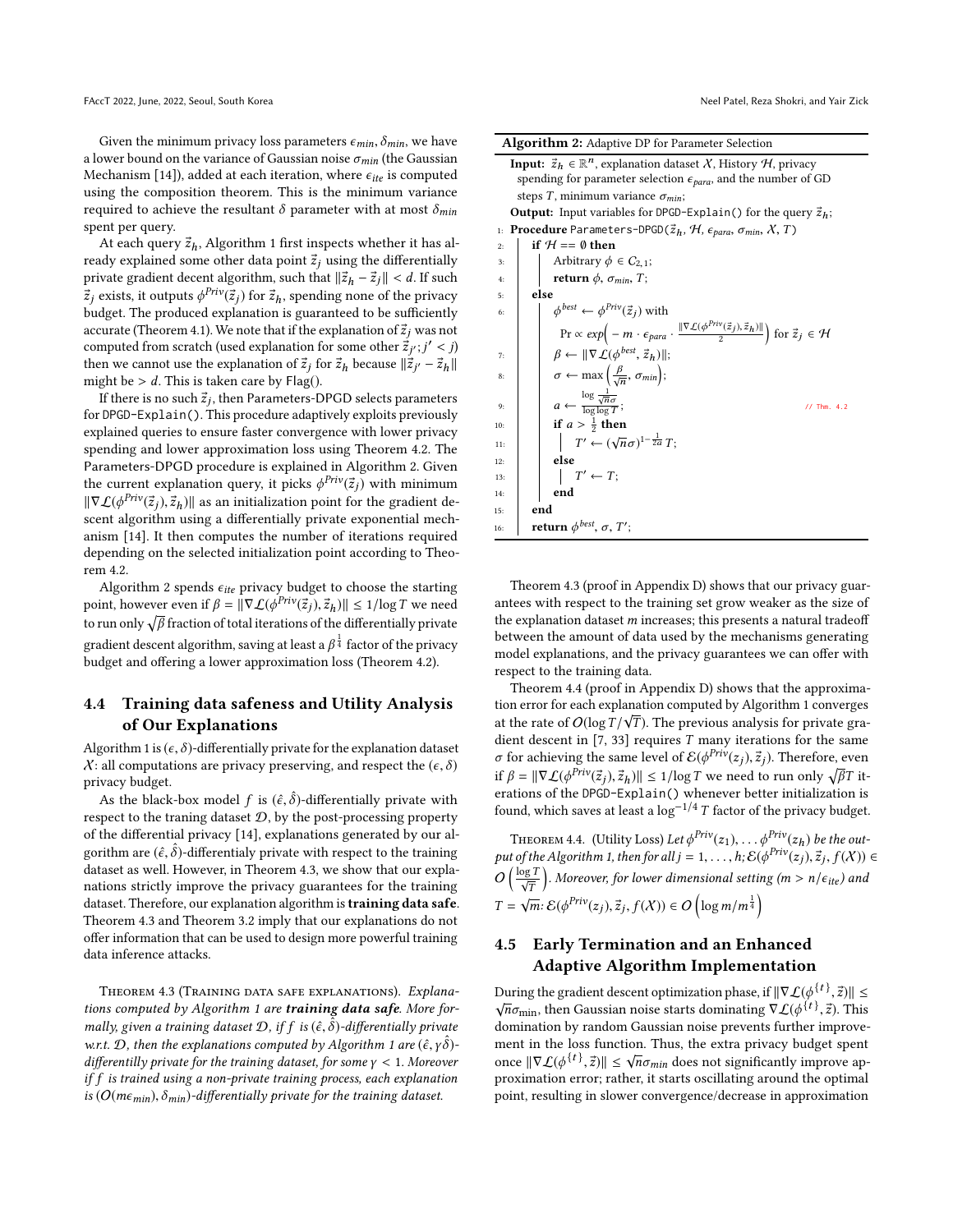Given the minimum privacy loss parameters  $\epsilon_{min}$ ,  $\delta_{min}$ , we have a lower bound on the variance of Gaussian noise  $\sigma_{min}$  (the Gaussian Mechanism [\[14\]](#page-9-30)), added at each iteration, where  $\epsilon_{ite}$  is computed using the composition theorem. This is the minimum variance required to achieve the resultant  $\delta$  parameter with at most  $\delta_{min}$ spent per query.

At each query  $\vec{z}_h$ , Algorithm [1](#page-4-0) first inspects whether it has already explained some other data point  $\vec{z}_i$  using the differentially private gradient decent algorithm, such that  $\|\vec{z}_h - \vec{z}_j\| < d$ . If such  $\vec{z}_j$  exists, it outputs  $\phi^{Priv}(\vec{z}_j)$  for  $\vec{z}_h$ , spending none of the privacy budget. The produced explanation is guaranteed to be sufficiently budget. The produced explanation is guaranteed to be sufficiently accurate (Theorem [4.1\)](#page-4-2). We note that if the explanation of  $\vec{z}_j$  was not computed from scratch (used explanation for some other  $\vec{z}_j$ ;  $j' < j$ )<br>then we cannot use the explanation of  $\vec{z}$ ; for  $\vec{z}$ , because  $\|\vec{z}_j - \vec{z}_j\|$ then we cannot use the explanation of  $\vec{z}_j$  for  $\vec{z}_h$  because  $\|\vec{z}_{j'} - \vec{z}_h\|$ <br>might be  $\ge d$ . This is taken care by  $\text{Flag}()$ might be  $> d$ . This is taken care by Flag().

If there is no such  $\vec{z}_j$ , then Parameters-DPGD selects parameters<br>DPGD-Expl ain (). This procedure adoptively exploits previously for DPGD-Explain(). This procedure adaptively exploits previously explained queries to ensure faster convergence with lower privacy spending and lower approximation loss using Theorem [4.2.](#page-4-3) The Parameters-DPGD procedure is explained in Algorithm [2.](#page-5-1) Given the current explanation query, it picks  $\phi^{Priv}(\vec{z})$  with minimum<br>use  $C(\mathcal{A}^{\text{Priv}}(\vec{z})) \neq \emptyset$  we an initialization noint for the gradient de- $\|\nabla \mathcal{L}(\phi^{Priv}(\vec{z}_j), \vec{z}_h)\|$  as an initialization point for the gradient descent algorithm using a differentially private exponential mechscent algorithm using a differentially private exponential mechanism [\[14\]](#page-9-30). It then computes the number of iterations required depending on the selected initialization point according to Theorem [4.2.](#page-4-3)

Algorithm [2](#page-5-1) spends  $\epsilon_{ite}$  privacy budget to choose the starting point, however even if  $\beta = ||\nabla \mathcal{L}(\phi^{Priv}(\vec{z}_j), \vec{z}_h)|| \leq 1/\log T$  we need to run only  $\sqrt{\beta}$  fraction of total iterations of the differentially private gradient descent algorithm, saving at least a  $\beta^{\frac{1}{4}}$  factor of the privacy budget and offering a lower approximation loss (Theorem [4.2\)](#page-4-3).

## 4.4 Training data safeness and Utility Analysis of Our Explanations

Algorithm [1](#page-4-0) is  $(\epsilon, \delta)$ -differentially private for the explanation dataset  $X:$  all computations are privacy preserving, and respect the  $(\epsilon, \delta)$ privacy budget.

As the black-box model f is  $(\hat{\epsilon}, \hat{\delta})$ -differentially private with next to the traning dataset  $\Omega$  by the post-processing property respect to the traning dataset  $D$ , by the post-processing property of the differential privacy [\[14\]](#page-9-30), explanations generated by our algorithm are  $(\hat{\epsilon}, \hat{\delta})$ -differentialy private with respect to the training<br>dataset as well. However, in Theorem 4.3, we show that our expla dataset as well. However, in Theorem [4.3,](#page-5-0) we show that our explanations strictly improve the privacy guarantees for the training dataset. Therefore, our explanation algorithm is training data safe. Theorem [4.3](#page-5-0) and Theorem [3.2](#page-3-0) imply that our explanations do not offer information that can be used to design more powerful training data inference attacks.

<span id="page-5-0"></span>Theorem 4.3 (Training data safe explanations). Explana-tions computed by Algorithm [1](#page-4-0) are training data safe. More formally, given a training dataset  $\mathcal{D}$ , if  $f$  is  $(\hat{\epsilon}, \tilde{\delta})$ -differentially private<br>sunt  $\mathcal{D}$ , then the explanations computed by Algorithm 1 are  $(\hat{\epsilon}, \hat{\delta})$ w.r.t.  $\mathcal{D}$ , then the explanations computed by Algorithm [1](#page-4-0) are  $(\hat{\epsilon}, \gamma \hat{\delta})$ -<br>differentilly private for the training dataset for some  $\nu < 1$ . Moreover differentilly private for the training dataset, for some  $\gamma < 1$ . Moreover if f is trained using a non-private training process, each explanation is ( $O(m\epsilon_{min})$ ,  $\delta_{min}$ )-differentially private for the training dataset.

|  |  |  | Algorithm 2: Adaptive DP for Parameter Selection |  |  |
|--|--|--|--------------------------------------------------|--|--|
|  |  |  |                                                  |  |  |

<span id="page-5-3"></span>

| <b>Input:</b> $\vec{z}_h \in \mathbb{R}^n$ , explanation dataset X, History H, privacy                                                                   |  |  |  |  |
|----------------------------------------------------------------------------------------------------------------------------------------------------------|--|--|--|--|
| spending for parameter selection $\epsilon_{para}$ , and the number of GD                                                                                |  |  |  |  |
| steps T, minimum variance $\sigma_{min}$ ;                                                                                                               |  |  |  |  |
| <b>Output:</b> Input variables for DPGD-Explain() for the query $\vec{z}_h$ ;                                                                            |  |  |  |  |
| <b>Procedure</b> Parameters-DPGD( $\vec{z}_h$ , $\mathcal{H}$ , $\epsilon_{para}$ , $\sigma_{min}$ , $\mathcal{X}$ , T)<br>1:                            |  |  |  |  |
| if $H == \emptyset$ then<br>2:                                                                                                                           |  |  |  |  |
| Arbitrary $\phi \in C_{2,1}$ ;<br><b>return</b> $\phi$ , $\sigma_{min}$ , <i>T</i> ;<br>3:                                                               |  |  |  |  |
| 4:                                                                                                                                                       |  |  |  |  |
| else<br>5:                                                                                                                                               |  |  |  |  |
| $\phi^{best} \leftarrow \phi^{Priv}(\vec{z}_i)$ with<br>6:                                                                                               |  |  |  |  |
| $\Pr \propto exp\Big(-m\cdot\epsilon_{para}\cdot\frac{\ \nabla \mathcal{L}(\phi^{Priv}(\vec{z}_j),\vec{z}_h)\ }{2}\Big)$ for $\vec{z}_j \in \mathcal{H}$ |  |  |  |  |
| $\beta \leftarrow \ \nabla \mathcal{L}(\phi^{best}, \vec{z}_h)\ ;$<br>7:                                                                                 |  |  |  |  |
| $\sigma \leftarrow \max\left(\frac{\beta}{\sqrt{n}}, \sigma_{min}\right);$<br>8:                                                                         |  |  |  |  |
| $a \leftarrow \frac{\log \frac{1}{\sqrt{n}\sigma}}{\log \log T};$<br>$11$ Thm. 4.2<br>9:                                                                 |  |  |  |  |
| if $a > \frac{1}{2}$ then<br>10:                                                                                                                         |  |  |  |  |
| $T' \leftarrow (\sqrt{n}\sigma)^{1-\frac{1}{2a}}T;$<br>11:                                                                                               |  |  |  |  |
| else<br>12:                                                                                                                                              |  |  |  |  |
| $T' \leftarrow T;$<br>13:                                                                                                                                |  |  |  |  |
| end<br>14:                                                                                                                                               |  |  |  |  |
| end<br>15:                                                                                                                                               |  |  |  |  |
| return $\phi^{best}$ , $\sigma$ , $T'$ ;<br>16:                                                                                                          |  |  |  |  |

<span id="page-5-1"></span>Theorem [4.3](#page-5-0) (proof in Appendix D) shows that our privacy guarantees with respect to the training set grow weaker as the size of the explanation dataset  $m$  increases; this presents a natural tradeoff between the amount of data used by the mechanisms generating model explanations, and the privacy guarantees we can offer with respect to the training data.

Theorem [4.4](#page-5-2) (proof in Appendix D) shows that the approximation error for each explanation computed by Algorithm [1](#page-4-0) converges at the rate of  $O(\log T/\sqrt{T})$ . The previous analysis for private gradient descent in  $[7, 33]$  $[7, 33]$  $[7, 33]$  requires  $T$  many iterations for the same σ for achieving the same level of  $\mathcal{E}(\phi^{Priv}(z_j), \vec{z}_j)$ . Therefore, even<br>if  $\mathcal{E}(\phi^{Priv}(z_i), \vec{z}_j)$  is a degree model to gauge the  $\sqrt{2\pi}$  if if  $\beta = ||\nabla \mathcal{L}(\phi^{Priv}(\vec{z}_j), \vec{z}_h)|| \leq 1/\log T$  we need to run only  $\sqrt{\beta}T$  it-<br>erations of the DPGD-Explain() whenever better initialization is erations of the DPGD-Explain() whenever better initialization is found, which saves at least a  $\log^{-1/4} T$  factor of the privacy budget.

<span id="page-5-2"></span>THEOREM 4.4. (Utility Loss) Let  $\phi^{Priv}(z_1), \ldots, \phi^{Priv}(z_h)$  be the out-<br>t of the Algorithm 1 then for all i = 1 b.  $E(\phi^{Priv}(z_1), \vec{z} \cdot f(X))$ put of the Algorithm [1,](#page-4-0) then for all  $j = 1, ..., h$ ;  $\mathcal{E}(\phi^{Priv}(z_j), \vec{z}_j, f(X)) \in \mathbb{R}^{(log T)}$  $O\left(\frac{\log T}{\sqrt{T}}\right)$ . Moreover, for lower dimensional setting (m > n/ $\epsilon_{ite}$ ) and  $T = \sqrt{m} \cdot \mathcal{E}(\phi^{Priv}(z_j), \vec{z}_j, f(X)) \in O\left(\log m/m^{\frac{1}{4}}\right)$ 

## <span id="page-5-4"></span>4.5 Early Termination and an Enhanced Adaptive Algorithm Implementation

During the gradient descent optimization phase, if  $\|\nabla \mathcal{L}(\phi^{\{t\}};\vec{z})\| \leq \sqrt{\log n}$ , then Coussian poise starts dominating  $\nabla \mathcal{L}(\phi^{\{t\}};\vec{z})$ . This  $\sqrt{n}\sigma_{\min}$ , then Gaussian noise starts dominating  $\nabla \mathcal{L}(\phi^{\{t\}}, \vec{z})$ . This domination by random Gaussian noise prevents further improvement in the loss function. Thus, the extra privacy budget spent once  $\|\nabla \mathcal{L}(\phi^{\{t\}}, \vec{z})\| \leq \sqrt{n\sigma_{min}}$  does not significantly improve approximation error; rather it starts oscillating around the optimal proximation error; rather, it starts oscillating around the optimal point, resulting in slower convergence/decrease in approximation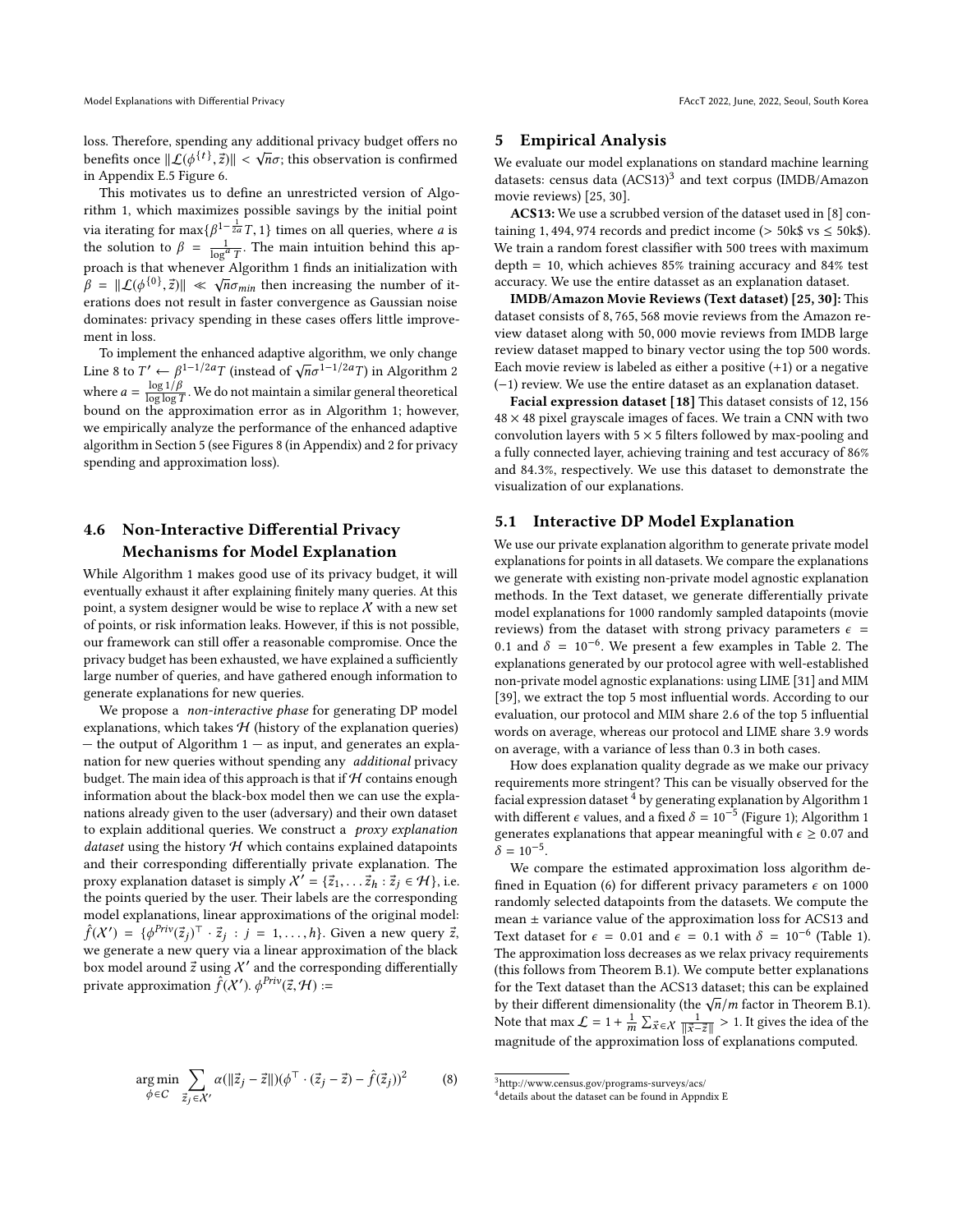loss. Therefore, spending any additional privacy budget offers no benefits once  $||\mathcal{L}(\phi^{\{t\}}, \vec{z})|| < \sqrt{n}\sigma$ ; this observation is confirmed<br>in Appendix E.5 Figure 6 in Appendix E.5 Figure 6.

This motivates us to define an unrestricted version of Algorithm [1,](#page-4-0) which maximizes possible savings by the initial point via iterating for max $\{\beta^{1-\frac{1}{2a}}T, 1\}$  times on all queries, where *a* is<br>the solution to  $\beta = \frac{1}{\log^a T}$ . The main intuition behind this ap-<br>proach is that whenever Algorithm 1 finds an initialization with proach is that whenever Algorithm [1](#page-4-0) finds an initialization with  $\hat{\beta} = ||\mathcal{L}(\phi^{\{0\}}, \vec{z})|| \ll \sqrt{n\sigma_{min}}$  then increasing the number of iterations does not result in factor convergence as Gaussian noise erations does not result in faster convergence as Gaussian noise dominates: privacy spending in these cases offers little improvement in loss.

To implement the enhanced adaptive algorithm, we only change Line [8](#page-5-3) to  $T' \leftarrow \beta^{1-1/2a} T$  (instead of  $\sqrt{n\sigma}^{1-1/2a} T$ ) in Algorithm [2](#page-5-1) where  $a = \frac{\log 1/\beta}{\log \log 1}$  $\frac{\log 1/p}{\log 1/p}$ . We do not maintain a similar general theoretical<br>the approximation error as in Algorithm 1: however bound on the approximation error as in Algorithm [1;](#page-4-0) however, we empirically analyze the performance of the enhanced adaptive algorithm in Section [5](#page-6-0) (see Figures 8 (in Appendix) and [2](#page-8-5) for privacy spending and approximation loss).

## 4.6 Non-Interactive Differential Privacy Mechanisms for Model Explanation

While Algorithm [1](#page-4-0) makes good use of its privacy budget, it will eventually exhaust it after explaining finitely many queries. At this point, a system designer would be wise to replace  $X$  with a new set of points, or risk information leaks. However, if this is not possible, our framework can still offer a reasonable compromise. Once the privacy budget has been exhausted, we have explained a sufficiently large number of queries, and have gathered enough information to generate explanations for new queries.

We propose a non-interactive phase for generating DP model explanations, which takes  $H$  (history of the explanation queries) — the output of Algorithm [1](#page-4-0) — as input, and generates an explanation for new queries without spending any additional privacy budget. The main idea of this approach is that if  $H$  contains enough information about the black-box model then we can use the explanations already given to the user (adversary) and their own dataset to explain additional queries. We construct a *proxy explanation* dataset using the history  $H$  which contains explained datapoints and their corresponding differentially private explanation. The proxy explanation dataset is simply  $X' = \{\vec{z}_1, \dots, \vec{z}_h : \vec{z}_j \in \mathcal{H}\}\)$ , i.e. the points queried by the user. Their labels are the corresponding model explanations, linear approximations of the original model:  $\hat{f}(X') = {\phi}^{\text{Priv}}(\vec{z}_j)^\top \cdot \vec{z}_j : j = 1, \dots, h$ . Given a new query  $\vec{z}_j$ , we generate a new query via a linear approximation of the black we generate a new query via a linear approximation of the black box model around  $\vec{z}$  using  $\lambda'$  and the corresponding differentially private approximation  $\hat{f}(X')$ .  $\phi^{Priv}(\vec{z}, \mathcal{H})$  :=

<span id="page-6-0"></span>
$$
\underset{\phi \in C}{\arg \min} \sum_{\vec{z}_j \in \mathcal{X}'} \alpha(\|\vec{z}_j - \vec{z}\|) (\phi^{\top} \cdot (\vec{z}_j - \vec{z}) - \hat{f}(\vec{z}_j))^2 \tag{8}
$$

#### 5 Empirical Analysis

We evaluate our model explanations on standard machine learning datasets: census data (ACS1[3](#page-6-1))<sup>3</sup> and text corpus (IMDB/Amazon movie reviews) [\[25,](#page-9-32) [30\]](#page-9-33).

ACS13: We use a scrubbed version of the dataset used in [\[8\]](#page-9-34) containing 1, 494, 974 records and predict income ( $>$  50k\$ vs  $\le$  50k\$). We train a random forest classifier with 500 trees with maximum depth = 10, which achieves 85% training accuracy and 84% test accuracy. We use the entire datasset as an explanation dataset.

IMDB/Amazon Movie Reviews (Text dataset) [\[25,](#page-9-32) [30\]](#page-9-33): This dataset consists of <sup>8</sup>, <sup>765</sup>, <sup>568</sup> movie reviews from the Amazon review dataset along with <sup>50</sup>, <sup>000</sup> movie reviews from IMDB large review dataset mapped to binary vector using the top 500 words. Each movie review is labeled as either a positive  $(+1)$  or a negative (−1) review. We use the entire dataset as an explanation dataset.

Facial expression dataset [\[18\]](#page-9-35) This dataset consists of <sup>12</sup>, <sup>156</sup>  $48 \times 48$  pixel grayscale images of faces. We train a CNN with two convolution layers with  $5 \times 5$  filters followed by max-pooling and a fully connected layer, achieving training and test accuracy of 86% and <sup>84</sup>.3%, respectively. We use this dataset to demonstrate the visualization of our explanations.

## 5.1 Interactive DP Model Explanation

We use our private explanation algorithm to generate private model explanations for points in all datasets. We compare the explanations we generate with existing non-private model agnostic explanation methods. In the Text dataset, we generate differentially private model explanations for 1000 randomly sampled datapoints (movie reviews) from the dataset with strong privacy parameters  $\epsilon$  = 0.1 and  $\delta = 10^{-6}$ . We present a few examples in Table [2.](#page-8-6) The explanations generated by our protocol agree with well-established explanations generated by our protocol agree with well-established non-private model agnostic explanations: using LIME [\[31\]](#page-9-7) and MIM [\[39\]](#page-9-8), we extract the top 5 most influential words. According to our evaluation, our protocol and MIM share <sup>2</sup>.<sup>6</sup> of the top <sup>5</sup> influential words on average, whereas our protocol and LIME share <sup>3</sup>.<sup>9</sup> words on average, with a variance of less than <sup>0</sup>.<sup>3</sup> in both cases.

How does explanation quality degrade as we make our privacy requirements more stringent? This can be visually observed for the facial expression dataset  $4$  by generating explanation by Algorithm 1 with different  $\epsilon$  values, and a fixed  $\delta = 10^{-5}$  (Figure [1\)](#page-7-0); Algorithm 1 generates explanations that appear meaningful with  $\epsilon \geq 0.07$  and  $\delta = 10^{-5}$ .

We compare the estimated approximation loss algorithm de-fined in Equation [\(6\)](#page-3-2) for different privacy parameters  $\epsilon$  on 1000 randomly selected datapoints from the datasets. We compute the mean  $\pm$  variance value of the approximation loss for ACS13 and Text dataset for  $\epsilon = 0.01$  and  $\epsilon = 0.1$  with  $\delta = 10^{-6}$  (Table [1\)](#page-7-1).<br>The approximation loss decreases as we relax privacy requirements The approximation loss decreases as we relax privacy requirements (this follows from Theorem B.1). We compute better explanations for the Text dataset than the ACS13 dataset; this can be explained by their different dimensionality (the  $\sqrt{n}/m$  factor in Theorem B.1). Note that max  $\mathcal{L} = 1 + \frac{1}{m} \sum_{\vec{x} \in \mathcal{X}}$ m  $\frac{m}{2}$   $\frac{m}{x-z}$   $\frac{m}{|x-z|}$  explanations computed.  $\frac{1}{2}$  > 1. It gives the idea of the

<span id="page-6-1"></span> $^3$ http://www.census.gov/programs-surveys/acs/

<span id="page-6-2"></span><sup>4</sup>details about the dataset can be found in Appndix E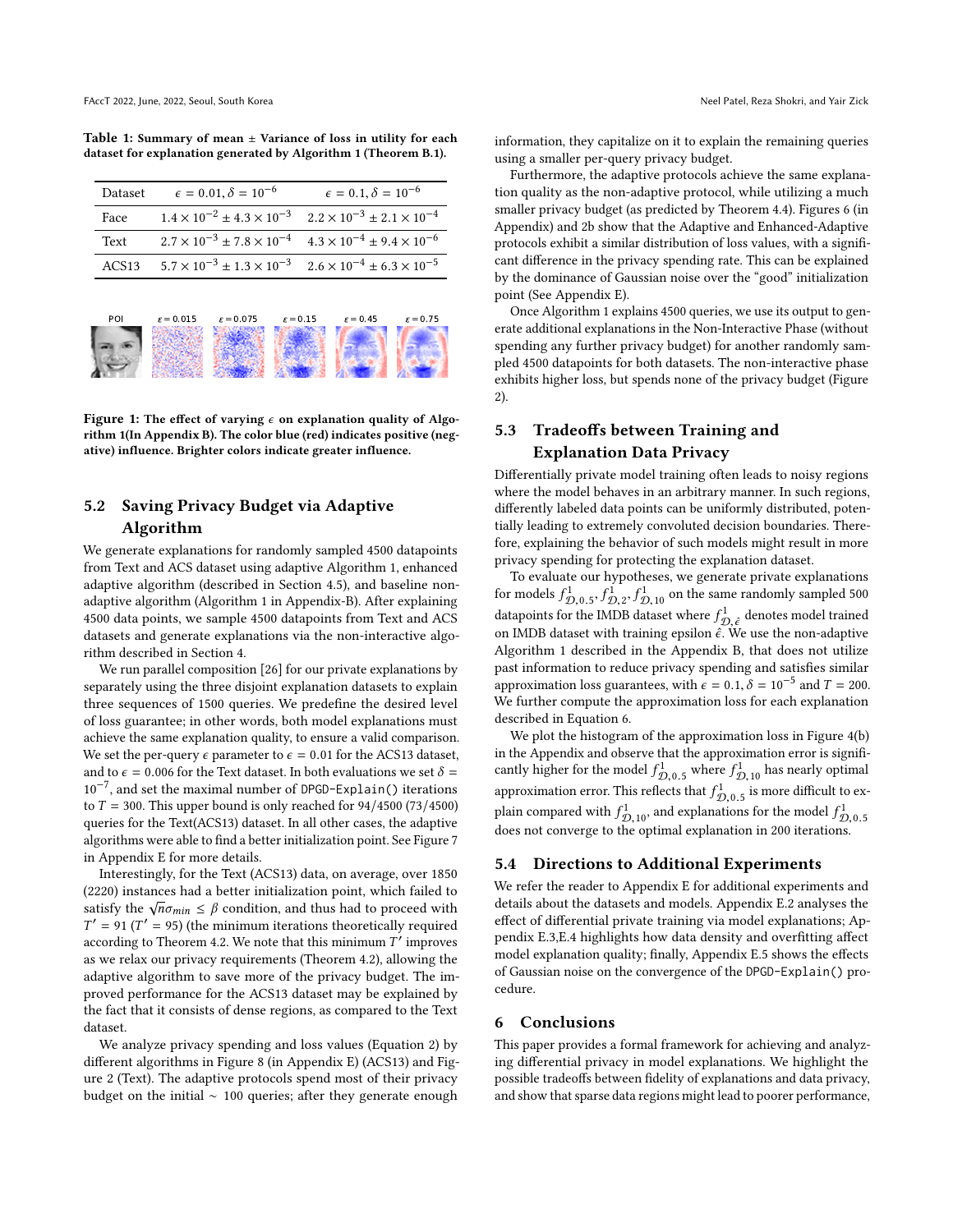<span id="page-7-1"></span>Table 1: Summary of mean  $\pm$  Variance of loss in utility for each dataset for explanation generated by Algorithm 1 (Theorem B.1).

| Dataset | $\epsilon = 0.01, \delta = 10^{-6}$                                                     | $\epsilon = 0.1, \delta = 10^{-6}$                                                      |
|---------|-----------------------------------------------------------------------------------------|-----------------------------------------------------------------------------------------|
| Face    |                                                                                         | $1.4 \times 10^{-2} \pm 4.3 \times 10^{-3}$ $2.2 \times 10^{-3} \pm 2.1 \times 10^{-4}$ |
| Text    | $2.7 \times 10^{-3} \pm 7.8 \times 10^{-4}$ $4.3 \times 10^{-4} \pm 9.4 \times 10^{-6}$ |                                                                                         |
| ACS13   | $5.7 \times 10^{-3} \pm 1.3 \times 10^{-3}$ $2.6 \times 10^{-4} \pm 6.3 \times 10^{-5}$ |                                                                                         |
|         |                                                                                         |                                                                                         |

<span id="page-7-0"></span>

Figure 1: The effect of varying  $\epsilon$  on explanation quality of Algorithm 1(In Appendix B). The color blue (red) indicates positive (negative) influence. Brighter colors indicate greater influence.

## 5.2 Saving Privacy Budget via Adaptive Algorithm

We generate explanations for randomly sampled 4500 datapoints from Text and ACS dataset using adaptive Algorithm [1,](#page-4-0) enhanced adaptive algorithm (described in Section [4.5\)](#page-5-4), and baseline nonadaptive algorithm (Algorithm 1 in Appendix-B). After explaining 4500 data points, we sample 4500 datapoints from Text and ACS datasets and generate explanations via the non-interactive algorithm described in Section [4.](#page-3-1)

We run parallel composition [\[26\]](#page-9-36) for our private explanations by separately using the three disjoint explanation datasets to explain three sequences of 1500 queries. We predefine the desired level of loss guarantee; in other words, both model explanations must achieve the same explanation quality, to ensure a valid comparison. We set the per-query  $\epsilon$  parameter to  $\epsilon = 0.01$  for the ACS13 dataset, and to  $\epsilon = 0.006$  for the Text dataset. In both evaluations we set  $\delta =$ 10−<sup>7</sup> , and set the maximal number of DPGD-Explain() iterations to  $T = 300$ . This upper bound is only reached for  $94/4500 (73/4500)$ queries for the Text(ACS13) dataset. In all other cases, the adaptive algorithms were able to find a better initialization point. See Figure 7 in Appendix E for more details.

Interestingly, for the Text (ACS13) data, on average, over 1850 (2220) instances had a better initialization point, which failed to satisfy the  $\sqrt{n}\sigma_{min} \leq \beta$  condition, and thus had to proceed with  $T'$  = 91 ( $T'$  = 95) (the minimum iterations theoretically required according to Theorem [4.2.](#page-4-3) We note that this minimum  $T'$  improves as we relax our privacy requirements (Theorem [4.2\)](#page-4-3), allowing the adaptive algorithm to save more of the privacy budget. The improved performance for the ACS13 dataset may be explained by the fact that it consists of dense regions, as compared to the Text dataset.

We analyze privacy spending and loss values (Equation [2\)](#page-2-4) by different algorithms in Figure 8 (in Appendix E) (ACS13) and Figure [2](#page-8-5) (Text). The adaptive protocols spend most of their privacy budget on the initial ∼ 100 queries; after they generate enough

information, they capitalize on it to explain the remaining queries using a smaller per-query privacy budget.

Furthermore, the adaptive protocols achieve the same explanation quality as the non-adaptive protocol, while utilizing a much smaller privacy budget (as predicted by Theorem [4.4\)](#page-5-2). Figures 6 (in Appendix) and [2b](#page-8-5) show that the Adaptive and Enhanced-Adaptive protocols exhibit a similar distribution of loss values, with a significant difference in the privacy spending rate. This can be explained by the dominance of Gaussian noise over the "good" initialization point (See Appendix E).

Once Algorithm [1](#page-4-0) explains 4500 queries, we use its output to generate additional explanations in the Non-Interactive Phase (without spending any further privacy budget) for another randomly sampled 4500 datapoints for both datasets. The non-interactive phase exhibits higher loss, but spends none of the privacy budget (Figure [2\)](#page-8-5).

## 5.3 Tradeoffs between Training and Explanation Data Privacy

Differentially private model training often leads to noisy regions where the model behaves in an arbitrary manner. In such regions, differently labeled data points can be uniformly distributed, potentially leading to extremely convoluted decision boundaries. Therefore, explaining the behavior of such models might result in more privacy spending for protecting the explanation dataset.

To evaluate our hypotheses, we generate private explanations for models  $f_{\mathcal{D},0.5}^1$ ,  $f_{\mathcal{D},2}^1$ ,  $f_{\mathcal{D},10}^1$  on the same randomly sampled 500<br>datapoints for the IMDB dataset where  $f_{\mathcal{D}, \hat{\epsilon}}^1$  denotes model trained<br>on IMDB dataset with training ensilon  $\hat{\epsilon}$ . We on IMDB dataset with training epsilon  $\hat{\epsilon}$ . We use the non-adaptive Algorithm 1 described in the Appendix B, that does not utilize past information to reduce privacy spending and satisfies similar approximation loss guarantees, with  $\epsilon = 0.1$ ,  $\delta = 10^{-5}$  and  $T = 200$ .<br>We further compute the approximation loss for each explanation We further compute the approximation loss for each explanation described in Equation [6.](#page-3-2)

We plot the histogram of the approximation loss in Figure 4(b) in the Appendix and observe that the approximation error is significantly higher for the model  $f_{D,0.5}^1$  where  $f_{D,10}^1$  has nearly optimal<br>connectionation error. This reflects that  $f_{\perp}^1$  is more difficult to an canny inglier for the moder  $J_{D,0.5}$  where  $J_{D,10}$  has nearly optimal<br>approximation error. This reflects that  $f_{D,0.5}^1$  is more difficult to exapproximation error. This reflects that  $J_{D,0.5}$  is more unificult to ex-<br>plain compared with  $f_{D,10}^1$ , and explanations for the model  $f_{D,0.5}^1$ <br>does not converge to the optimal explanation in 200 iterations does not converge to the optimal explanation in 200 iterations.

## 5.4 Directions to Additional Experiments

We refer the reader to Appendix E for additional experiments and details about the datasets and models. Appendix E.2 analyses the effect of differential private training via model explanations; Appendix E.3,E.4 highlights how data density and overfitting affect model explanation quality; finally, Appendix E.5 shows the effects of Gaussian noise on the convergence of the DPGD-Explain() procedure.

## 6 Conclusions

This paper provides a formal framework for achieving and analyzing differential privacy in model explanations. We highlight the possible tradeoffs between fidelity of explanations and data privacy, and show that sparse data regions might lead to poorer performance,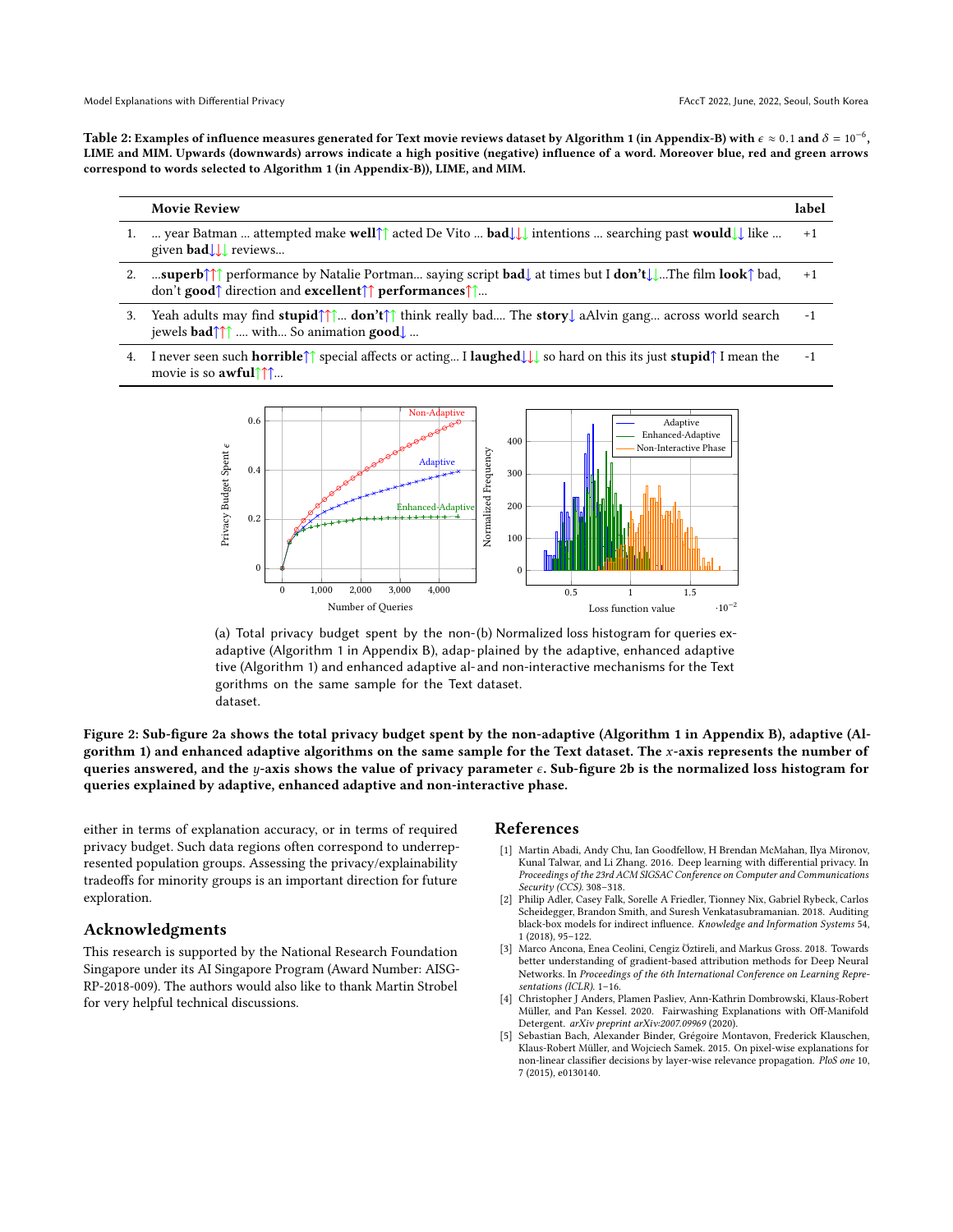<span id="page-8-6"></span>Table 2: Examples of influence measures generated for Text movie reviews dataset by Algorithm 1 (in Appendix-B) with  $\epsilon \approx 0.1$  and  $\delta = 10^{-6}$ ,<br>LIME and MIM, Unwards (downwards) arrows indicate a high positive (perstive) LIME and MIM. Upwards (downwards) arrows indicate a high positive (negative) influence of a word. Moreover blue, red and green arrows correspond to words selected to Algorithm 1 (in Appendix-B)), LIME, and MIM.

#### Movie Review label dataset, and to = 0.006 for the Text dataset. In both evaluations we set = 10−<sup>7</sup> , and set the set the set theorem  $\overline{\text{C}}$  number of DPGD-Explanations to  $\overline{\text{C}}$

- 1. … year Batman … attempted make well↑↑ acted De Vito … bad↓↓↓ intentions … searching past would↓↓ like … given bad $\downarrow \downarrow$  reviews...  $+1$
- 2. …superb↑↑↑ performance by Natalie Portman… saying script  $\textbf{bad}\downarrow$  at times but I  $\textbf{don't}\downarrow\downarrow$ …The film  $\textbf{look}\uparrow$  bad, don't good↑ direction and excellent↑↑ performances↑↑... +1 **uperb**†↑↑ performance by Natalie Portman... saying script **bad**↓ at times but I **don't↓↓...**The film **look**↑ bad,<br>n't **good↑** direction and **excellent↑↑ performances↑↑..**. ′ = 95) (the minimum iterations theoretically required according to Theorem 4.2. We
- 3. Yeah adults may find stupid↑↑↑... don't↑↑ think really bad.... The story↓ aAlvin gang... across world search  $j$ ewels  $\textbf{bad}\uparrow\uparrow\uparrow$  ... with... So animation  $\textbf{good}\downarrow$  ... -1 h adults may find stupid↑↑... don't↑↑ think really bad.... The story↓ aAlvin gang... across world search
- <span id="page-8-5"></span>4. I never seen such **horrible**↑↑ special affects or acting… I **laughed**↓↓↓ so hard on this its just **stupid**↑ I mean the movie is so **awful**↑↑... -1



(a) Total privacy budget spent by the non-(b) Normalized loss histogram for queries exadaptive (Algorithm 1 in Appendix B), adap-plained by the adaptive, enhanced adaptive tive (Algorithm 1) and enhanced adaptive al-and non-interactive mechanisms for the Text gorithms on the same sample for the Text dataset. dataset.

Figure 2: Sub-figure [2a](#page-8-5) shows the total privacy budget spent by the non-adaptive (Algorithm 1 in Appendix B), adaptive (Al-gorithm [1\)](#page-4-0) and enhanced adaptive algorithms on the same sample for the Text dataset. The  $x$ -axis represents the number of queries answered, and the  $y$ -axis shows the value of privacy parameter  $\epsilon.$  Sub-figure  $2\mathsf{b}$  is the normalized loss histogram for queries explained by adaptive, enhanced adaptive and non-interactive phase.

either in terms of explanation accuracy, or in terms of required privacy budget. Such data regions often correspond to underrepresented population groups. Assessing the privacy/explainability tradeoffs for minority groups is an important direction for future exploration.

## Acknowledgments

This research is supported by the National Research Foundation Singapore under its AI Singapore Program (Award Number: AISG-RP-2018-009). The authors would also like to thank Martin Strobel for very helpful technical discussions.

## <span id="page-8-4"></span><span id="page-8-3"></span><span id="page-8-2"></span><span id="page-8-1"></span><span id="page-8-0"></span>References

- uch data regions often correspond to underrep- [1] Martin Abadi, Andy Chu, Ian Goodfellow, H Brendan McMahan, Ilya Mironov,<br>- Equation 2016, Darn Joseph Alfred Ward To Private 8, 2016, Darn Joseph Regional McMahan, Ilya Mi (in Appendix E) (in Appendix E) (According the Conference on Computer and Communications<br>in original most of the adaptive protocol of the Conference on Computer and Communications Kunal Talwar, and Li Zhang. 2016. Deep learning with differential privacy. In Security (CCS). 308–318.
	- [2] Philip Adler, Casey Falk, Sorelle A Friedler, Tionney Nix, Gabriel Rybeck, Carlos Scheidegger, Brandon Smith, and Suresh Venkatasubramanian. 2018. Auditing black-box models for indirect influence. Knowledge and Information Systems 54, 1 (2018), 95–122.
	- [3] Marco Ancona, Enea Ceolini, Cengiz Öztireli, and Markus Gross. 2018. Towards better understanding of gradient-based attribution methods for Deep Neural Networks. In Proceedings of the 6th International Conference on Learning Representations (ICLR). 1–16.
	- [4] Christopher J Anders, Plamen Pasliev, Ann-Kathrin Dombrowski, Klaus-Robert Müller, and Pan Kessel. 2020. Fairwashing Explanations with Off-Manifold Detergent. arXiv preprint arXiv:2007.09969 (2020).
	- [5] Sebastian Bach, Alexander Binder, Grégoire Montavon, Frederick Klauschen, Klaus-Robert Müller, and Wojciech Samek. 2015. On pixel-wise explanations for non-linear classifier decisions by layer-wise relevance propagation. PloS one 10, 7 (2015), e0130140.